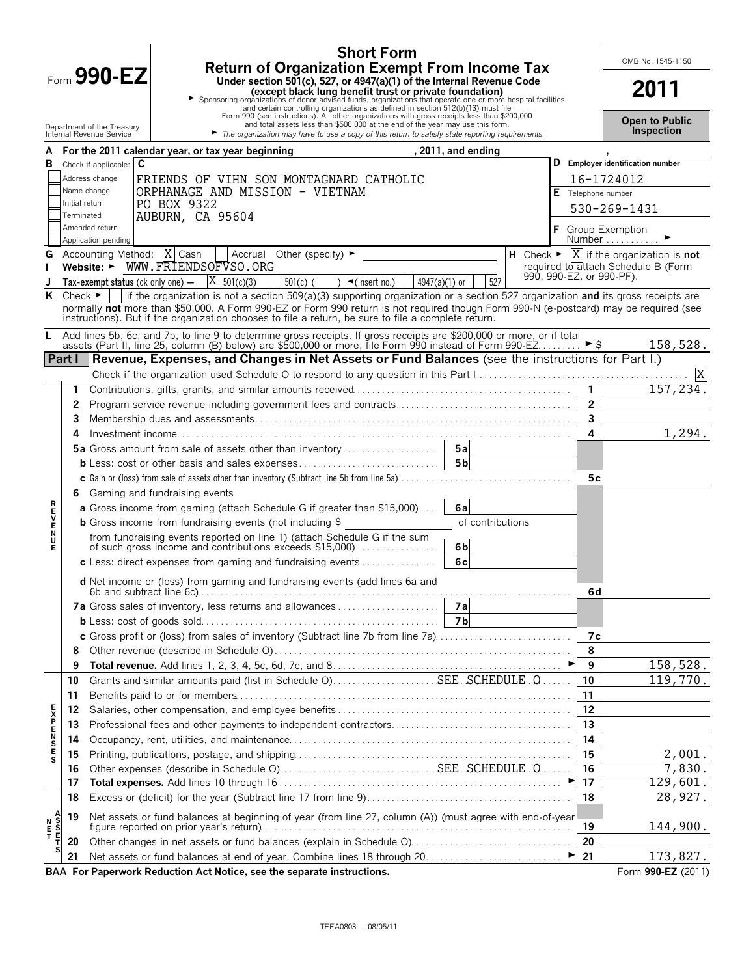|                |                              | <b>Short Form</b>                                                                                                                                                                                                                                                                                                                                                                         |                                           | OMB No. 1545-1150                                                     |
|----------------|------------------------------|-------------------------------------------------------------------------------------------------------------------------------------------------------------------------------------------------------------------------------------------------------------------------------------------------------------------------------------------------------------------------------------------|-------------------------------------------|-----------------------------------------------------------------------|
|                |                              | <b>Return of Organization Exempt From Income Tax</b><br>Form $990$ -EZ<br>Under section 501(c), 527, or 4947(a)(1) of the Internal Revenue Code<br>► Sponsoring organizations of donor advised funds, organizations that <b>bundation</b><br>► Sponsoring organizations of donor advised funds, organizations that operate one or more hospital facilities,<br>Form 990 (see instructions |                                           | 2011                                                                  |
|                |                              | and total assets less than \$500,000 at the end of the year may use this form.<br>Department of the Treasury<br>The organization may have to use a copy of this return to satisfy state reporting requirements.<br>Internal Revenue Service                                                                                                                                               |                                           | <b>Open to Public</b><br>Inspection                                   |
| A              |                              | For the 2011 calendar year, or tax year beginning<br>, 2011, and ending                                                                                                                                                                                                                                                                                                                   |                                           |                                                                       |
| в              |                              | C<br>Check if applicable:                                                                                                                                                                                                                                                                                                                                                                 |                                           | D Employer identification number                                      |
|                |                              | Address change<br>FRIENDS OF VIHN SON MONTAGNARD CATHOLIC                                                                                                                                                                                                                                                                                                                                 |                                           | 16-1724012                                                            |
|                |                              | Name change<br>ORPHANAGE AND MISSION - VIETNAM                                                                                                                                                                                                                                                                                                                                            |                                           | E Telephone number                                                    |
|                | Initial return<br>Terminated | PO BOX 9322                                                                                                                                                                                                                                                                                                                                                                               |                                           | 530-269-1431                                                          |
|                |                              | AUBURN, CA 95604<br>Amended return                                                                                                                                                                                                                                                                                                                                                        |                                           | F Group Exemption                                                     |
|                |                              | Application pending                                                                                                                                                                                                                                                                                                                                                                       |                                           | Number $\blacktriangleright$                                          |
| G              |                              | Accounting Method: $ X $ Cash   Accrual Other (specify) $\blacktriangleright$                                                                                                                                                                                                                                                                                                             |                                           | H Check $\blacktriangleright$ $ X $ if the organization is <b>not</b> |
|                |                              | Website: ► WWW.FRIENDSOFVSO.ORG<br>990, 990-EZ, or 990-PF).                                                                                                                                                                                                                                                                                                                               |                                           | required to attach Schedule B (Form                                   |
| J              |                              | Tax-exempt status (ck only one) $-$  X  501(c)(3)<br>$501(c)$ ( ) $\blacktriangleleft$ (insert no.)<br>527<br>4947(a)(1) or                                                                                                                                                                                                                                                               |                                           |                                                                       |
| ĸ              | Check $\blacktriangleright$  | if the organization is not a section 509(a)(3) supporting organization or a section 527 organization and its gross receipts are<br>normally not more than \$50,000. A Form 990-EZ or Form 990 return is not required though Form 990-N (e-postcard) may be required (see<br>instructions). But if the organization chooses to file a return, be sure to file a complete return.           |                                           |                                                                       |
| L.             |                              | Add lines 5b, 6c, and 7b, to line 9 to determine gross receipts. If gross receipts are \$200,000 or more, or if total assets (Part II, line 25, column (B) below) are \$500,000 or more, file Form 990 instead of Form 990-EZ                                                                                                                                                             |                                           | 158,528.                                                              |
|                | Part I                       | Revenue, Expenses, and Changes in Net Assets or Fund Balances (see the instructions for Part I.)                                                                                                                                                                                                                                                                                          |                                           |                                                                       |
|                |                              |                                                                                                                                                                                                                                                                                                                                                                                           |                                           |                                                                       |
|                | 1                            |                                                                                                                                                                                                                                                                                                                                                                                           |                                           | $\overline{1}$ 57, 234.                                               |
|                | 2                            |                                                                                                                                                                                                                                                                                                                                                                                           | $\overline{2}$<br>$\overline{\mathbf{3}}$ |                                                                       |
|                | 3                            |                                                                                                                                                                                                                                                                                                                                                                                           | 4                                         | 1,294.                                                                |
|                | 4                            |                                                                                                                                                                                                                                                                                                                                                                                           |                                           |                                                                       |
|                |                              |                                                                                                                                                                                                                                                                                                                                                                                           |                                           |                                                                       |
|                |                              |                                                                                                                                                                                                                                                                                                                                                                                           | 5с                                        |                                                                       |
|                |                              | 6 Gaming and fundraising events                                                                                                                                                                                                                                                                                                                                                           |                                           |                                                                       |
|                |                              | <b>a</b> Gross income from gaming (attach Schedule G if greater than \$15,000)<br>6al                                                                                                                                                                                                                                                                                                     |                                           |                                                                       |
|                |                              | <b>b</b> Gross income from fundraising events (not including \$<br>of contributions                                                                                                                                                                                                                                                                                                       |                                           |                                                                       |
| アロンドロス         |                              | from fundraising events reported on line 1) (attach Schedule G if the sum of such gross income and contributions exceeds \$15,000)                                                                                                                                                                                                                                                        |                                           |                                                                       |
|                |                              | 6b<br>6c                                                                                                                                                                                                                                                                                                                                                                                  |                                           |                                                                       |
|                |                              | c Less: direct expenses from gaming and fundraising events                                                                                                                                                                                                                                                                                                                                |                                           |                                                                       |
|                |                              | <b>d</b> Net income or (loss) from gaming and fundraising events (add lines 6a and                                                                                                                                                                                                                                                                                                        | 6dl                                       |                                                                       |
|                |                              |                                                                                                                                                                                                                                                                                                                                                                                           |                                           |                                                                       |
|                |                              |                                                                                                                                                                                                                                                                                                                                                                                           |                                           |                                                                       |
|                |                              | c Gross profit or (loss) from sales of inventory (Subtract line 7b from line 7a)                                                                                                                                                                                                                                                                                                          | 7с                                        |                                                                       |
|                | 8<br>9                       |                                                                                                                                                                                                                                                                                                                                                                                           | 8<br>9                                    | 158,528.                                                              |
|                | 10                           | Grants and similar amounts paid (list in Schedule O)SEE. SCHEDULE .O                                                                                                                                                                                                                                                                                                                      | 10                                        | 119,770.                                                              |
|                | 11                           |                                                                                                                                                                                                                                                                                                                                                                                           | 11                                        |                                                                       |
|                | 12                           |                                                                                                                                                                                                                                                                                                                                                                                           | 12                                        |                                                                       |
|                | 13                           |                                                                                                                                                                                                                                                                                                                                                                                           | 13                                        |                                                                       |
| <b>FXPENSE</b> | 14                           |                                                                                                                                                                                                                                                                                                                                                                                           | 14                                        |                                                                       |
|                | 15                           |                                                                                                                                                                                                                                                                                                                                                                                           | 15                                        | 2,001.                                                                |
|                | 16                           |                                                                                                                                                                                                                                                                                                                                                                                           | 16                                        | 7,830.                                                                |
|                | 17                           |                                                                                                                                                                                                                                                                                                                                                                                           | 17                                        | 129,601.                                                              |
|                | 18                           |                                                                                                                                                                                                                                                                                                                                                                                           | 18                                        | 28,927.                                                               |
|                | 19                           | Net assets or fund balances at beginning of year (from line 27, column (A)) (must agree with end-of-year                                                                                                                                                                                                                                                                                  |                                           |                                                                       |
| N<br>TESOS     |                              |                                                                                                                                                                                                                                                                                                                                                                                           | 19                                        | 144,900.                                                              |
|                | 20                           | Other changes in net assets or fund balances (explain in Schedule O)                                                                                                                                                                                                                                                                                                                      | 20                                        |                                                                       |
|                | 21                           |                                                                                                                                                                                                                                                                                                                                                                                           | 21                                        | 173,827.                                                              |
|                |                              | BAA For Paperwork Reduction Act Notice, see the separate instructions.                                                                                                                                                                                                                                                                                                                    |                                           | Form 990-EZ (2011)                                                    |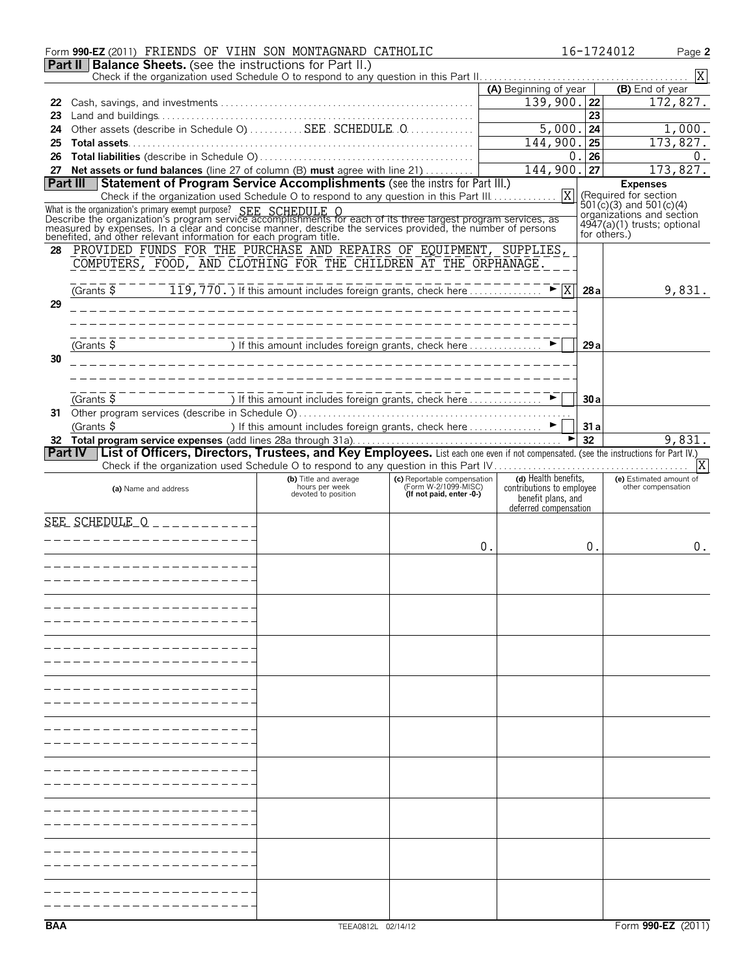|                                                                      | Form 990-EZ (2011) FRIENDS OF VIHN SON MONTAGNARD CATHOLIC                                                                                                                                                                                                                                                                                                                           |                                                             |                                                                                 |                                                   |                 | 16-1724012<br>Page 2                                     |  |  |  |
|----------------------------------------------------------------------|--------------------------------------------------------------------------------------------------------------------------------------------------------------------------------------------------------------------------------------------------------------------------------------------------------------------------------------------------------------------------------------|-------------------------------------------------------------|---------------------------------------------------------------------------------|---------------------------------------------------|-----------------|----------------------------------------------------------|--|--|--|
| <b>Part II   Balance Sheets.</b> (see the instructions for Part II.) |                                                                                                                                                                                                                                                                                                                                                                                      |                                                             |                                                                                 |                                                   |                 |                                                          |  |  |  |
|                                                                      | X<br>(A) Beginning of year<br>(B) End of year                                                                                                                                                                                                                                                                                                                                        |                                                             |                                                                                 |                                                   |                 |                                                          |  |  |  |
| 22                                                                   |                                                                                                                                                                                                                                                                                                                                                                                      |                                                             |                                                                                 | $139,900.$  22                                    |                 | 172,827.                                                 |  |  |  |
| 23                                                                   |                                                                                                                                                                                                                                                                                                                                                                                      |                                                             |                                                                                 |                                                   | $\overline{23}$ |                                                          |  |  |  |
| 24                                                                   | Other assets (describe in Schedule O)  SEE SCHEDULE 0                                                                                                                                                                                                                                                                                                                                |                                                             |                                                                                 | 5,000.                                            | 24              | 1,000.                                                   |  |  |  |
| 25                                                                   |                                                                                                                                                                                                                                                                                                                                                                                      |                                                             |                                                                                 | 144,900.                                          | 25              | 173,827.                                                 |  |  |  |
| 26                                                                   |                                                                                                                                                                                                                                                                                                                                                                                      |                                                             |                                                                                 | 0                                                 | 26              | 0.                                                       |  |  |  |
|                                                                      | 27 Net assets or fund balances (line 27 of column (B) must agree with line 21)                                                                                                                                                                                                                                                                                                       |                                                             |                                                                                 | $144,900.$ 27                                     |                 | 173,827.                                                 |  |  |  |
|                                                                      | Part III Statement of Program Service Accomplishments (see the instrs for Part III.)                                                                                                                                                                                                                                                                                                 |                                                             |                                                                                 |                                                   |                 | <b>Expenses</b>                                          |  |  |  |
|                                                                      | Check if the organization used Schedule O to respond to any question in this Part III.                                                                                                                                                                                                                                                                                               |                                                             |                                                                                 | $\overline{X}$                                    |                 | (Required for section                                    |  |  |  |
|                                                                      |                                                                                                                                                                                                                                                                                                                                                                                      |                                                             |                                                                                 |                                                   |                 | $501(c)(3)$ and $501(c)(4)$<br>organizations and section |  |  |  |
|                                                                      |                                                                                                                                                                                                                                                                                                                                                                                      |                                                             |                                                                                 |                                                   |                 | 4947(a)(1) trusts; optional                              |  |  |  |
|                                                                      | What is the organization's primary exempt purpose? SEE SCHEDULE O<br>Describe the organization's program service accomplishments for each of its three largest program services, as<br>measured by expenses. In a clear and concise                                                                                                                                                  |                                                             |                                                                                 |                                                   | for others.)    |                                                          |  |  |  |
| 28                                                                   | PROVIDED FUNDS FOR THE PURCHASE AND REPAIRS OF EQUIPMENT, SUPPLIES,                                                                                                                                                                                                                                                                                                                  |                                                             |                                                                                 |                                                   |                 |                                                          |  |  |  |
|                                                                      | COMPUTERS, FOOD, AND CLOTHING FOR THE CHILDREN AT THE ORPHANAGE.                                                                                                                                                                                                                                                                                                                     |                                                             |                                                                                 |                                                   |                 |                                                          |  |  |  |
|                                                                      |                                                                                                                                                                                                                                                                                                                                                                                      |                                                             |                                                                                 |                                                   |                 |                                                          |  |  |  |
|                                                                      | Grants $\frac{1}{5}$ $\frac{1}{5}$ $\frac{1}{19}$ , $\frac{1}{770}$ , if this amount includes foreign grants, check here $\ldots$                                                                                                                                                                                                                                                    |                                                             |                                                                                 |                                                   | 28a             | 9,831.                                                   |  |  |  |
| 29                                                                   |                                                                                                                                                                                                                                                                                                                                                                                      |                                                             |                                                                                 |                                                   |                 |                                                          |  |  |  |
|                                                                      |                                                                                                                                                                                                                                                                                                                                                                                      |                                                             |                                                                                 |                                                   |                 |                                                          |  |  |  |
|                                                                      |                                                                                                                                                                                                                                                                                                                                                                                      |                                                             |                                                                                 |                                                   |                 |                                                          |  |  |  |
| 30                                                                   | $\overline{S}$ $\overline{S}$ $\overline{S}$ $\overline{S}$ $\overline{S}$ $\overline{S}$ $\overline{S}$ $\overline{S}$ $\overline{S}$ $\overline{S}$ $\overline{S}$ $\overline{S}$ $\overline{S}$ $\overline{S}$ $\overline{S}$ $\overline{S}$ $\overline{S}$ $\overline{S}$ $\overline{S}$ $\overline{S}$ $\overline{S}$ $\overline{S}$ $\overline{S}$ $\overline{S}$ $\overline{$ |                                                             |                                                                                 |                                                   | 29a             |                                                          |  |  |  |
|                                                                      |                                                                                                                                                                                                                                                                                                                                                                                      |                                                             |                                                                                 |                                                   |                 |                                                          |  |  |  |
|                                                                      |                                                                                                                                                                                                                                                                                                                                                                                      |                                                             |                                                                                 |                                                   |                 |                                                          |  |  |  |
|                                                                      | (Grants \$                                                                                                                                                                                                                                                                                                                                                                           | If this amount includes foreign grants, check here $\ldots$ |                                                                                 |                                                   | 30a             |                                                          |  |  |  |
|                                                                      |                                                                                                                                                                                                                                                                                                                                                                                      |                                                             |                                                                                 |                                                   |                 |                                                          |  |  |  |
|                                                                      | (Grants $\frac{1}{2}$                                                                                                                                                                                                                                                                                                                                                                | ) If this amount includes foreign grants, check here ▶      |                                                                                 |                                                   | 31a             |                                                          |  |  |  |
|                                                                      |                                                                                                                                                                                                                                                                                                                                                                                      |                                                             |                                                                                 |                                                   | 32              | 9,831.                                                   |  |  |  |
|                                                                      | Part IV List of Officers, Directors, Trustees, and Key Employees. List each one even if not compensated. (see the instructions for Part IV.)                                                                                                                                                                                                                                         |                                                             |                                                                                 |                                                   |                 |                                                          |  |  |  |
|                                                                      |                                                                                                                                                                                                                                                                                                                                                                                      |                                                             |                                                                                 |                                                   |                 | X                                                        |  |  |  |
|                                                                      | (a) Name and address                                                                                                                                                                                                                                                                                                                                                                 | (b) Title and average<br>hours per week                     | (c) Reportable compensation<br>(Form W-2/1099-MISC)<br>(If not paid, enter -0-) | (d) Health benefits,<br>contributions to employee |                 | (e) Estimated amount of<br>other compensation            |  |  |  |
|                                                                      |                                                                                                                                                                                                                                                                                                                                                                                      | devoted to position                                         |                                                                                 | benefit plans, and                                |                 |                                                          |  |  |  |
|                                                                      |                                                                                                                                                                                                                                                                                                                                                                                      |                                                             |                                                                                 | deferred compensation                             |                 |                                                          |  |  |  |
|                                                                      | $SEE$ SCHEDULE $Q$ _ _ _ _ _ _ _ _ _ _                                                                                                                                                                                                                                                                                                                                               |                                                             |                                                                                 |                                                   |                 |                                                          |  |  |  |
|                                                                      | --------------                                                                                                                                                                                                                                                                                                                                                                       |                                                             |                                                                                 | 0.                                                | $0$ .           | 0.                                                       |  |  |  |
|                                                                      |                                                                                                                                                                                                                                                                                                                                                                                      |                                                             |                                                                                 |                                                   |                 |                                                          |  |  |  |
|                                                                      |                                                                                                                                                                                                                                                                                                                                                                                      |                                                             |                                                                                 |                                                   |                 |                                                          |  |  |  |
|                                                                      |                                                                                                                                                                                                                                                                                                                                                                                      |                                                             |                                                                                 |                                                   |                 |                                                          |  |  |  |
|                                                                      |                                                                                                                                                                                                                                                                                                                                                                                      |                                                             |                                                                                 |                                                   |                 |                                                          |  |  |  |
|                                                                      |                                                                                                                                                                                                                                                                                                                                                                                      |                                                             |                                                                                 |                                                   |                 |                                                          |  |  |  |
|                                                                      |                                                                                                                                                                                                                                                                                                                                                                                      |                                                             |                                                                                 |                                                   |                 |                                                          |  |  |  |
|                                                                      |                                                                                                                                                                                                                                                                                                                                                                                      |                                                             |                                                                                 |                                                   |                 |                                                          |  |  |  |
|                                                                      |                                                                                                                                                                                                                                                                                                                                                                                      |                                                             |                                                                                 |                                                   |                 |                                                          |  |  |  |
|                                                                      |                                                                                                                                                                                                                                                                                                                                                                                      |                                                             |                                                                                 |                                                   |                 |                                                          |  |  |  |
|                                                                      |                                                                                                                                                                                                                                                                                                                                                                                      |                                                             |                                                                                 |                                                   |                 |                                                          |  |  |  |
|                                                                      |                                                                                                                                                                                                                                                                                                                                                                                      |                                                             |                                                                                 |                                                   |                 |                                                          |  |  |  |
|                                                                      |                                                                                                                                                                                                                                                                                                                                                                                      |                                                             |                                                                                 |                                                   |                 |                                                          |  |  |  |
|                                                                      |                                                                                                                                                                                                                                                                                                                                                                                      |                                                             |                                                                                 |                                                   |                 |                                                          |  |  |  |
|                                                                      |                                                                                                                                                                                                                                                                                                                                                                                      |                                                             |                                                                                 |                                                   |                 |                                                          |  |  |  |
|                                                                      |                                                                                                                                                                                                                                                                                                                                                                                      |                                                             |                                                                                 |                                                   |                 |                                                          |  |  |  |
|                                                                      |                                                                                                                                                                                                                                                                                                                                                                                      |                                                             |                                                                                 |                                                   |                 |                                                          |  |  |  |
|                                                                      |                                                                                                                                                                                                                                                                                                                                                                                      |                                                             |                                                                                 |                                                   |                 |                                                          |  |  |  |
|                                                                      |                                                                                                                                                                                                                                                                                                                                                                                      |                                                             |                                                                                 |                                                   |                 |                                                          |  |  |  |
|                                                                      |                                                                                                                                                                                                                                                                                                                                                                                      |                                                             |                                                                                 |                                                   |                 |                                                          |  |  |  |
|                                                                      |                                                                                                                                                                                                                                                                                                                                                                                      |                                                             |                                                                                 |                                                   |                 |                                                          |  |  |  |
|                                                                      |                                                                                                                                                                                                                                                                                                                                                                                      |                                                             |                                                                                 |                                                   |                 |                                                          |  |  |  |
|                                                                      |                                                                                                                                                                                                                                                                                                                                                                                      |                                                             |                                                                                 |                                                   |                 |                                                          |  |  |  |
|                                                                      |                                                                                                                                                                                                                                                                                                                                                                                      |                                                             |                                                                                 |                                                   |                 |                                                          |  |  |  |
|                                                                      |                                                                                                                                                                                                                                                                                                                                                                                      |                                                             |                                                                                 |                                                   |                 |                                                          |  |  |  |
|                                                                      |                                                                                                                                                                                                                                                                                                                                                                                      |                                                             |                                                                                 |                                                   |                 |                                                          |  |  |  |
|                                                                      |                                                                                                                                                                                                                                                                                                                                                                                      |                                                             |                                                                                 |                                                   |                 |                                                          |  |  |  |
| <b>BAA</b>                                                           |                                                                                                                                                                                                                                                                                                                                                                                      | TEEA0812L 02/14/12                                          |                                                                                 |                                                   |                 | Form 990-EZ (2011)                                       |  |  |  |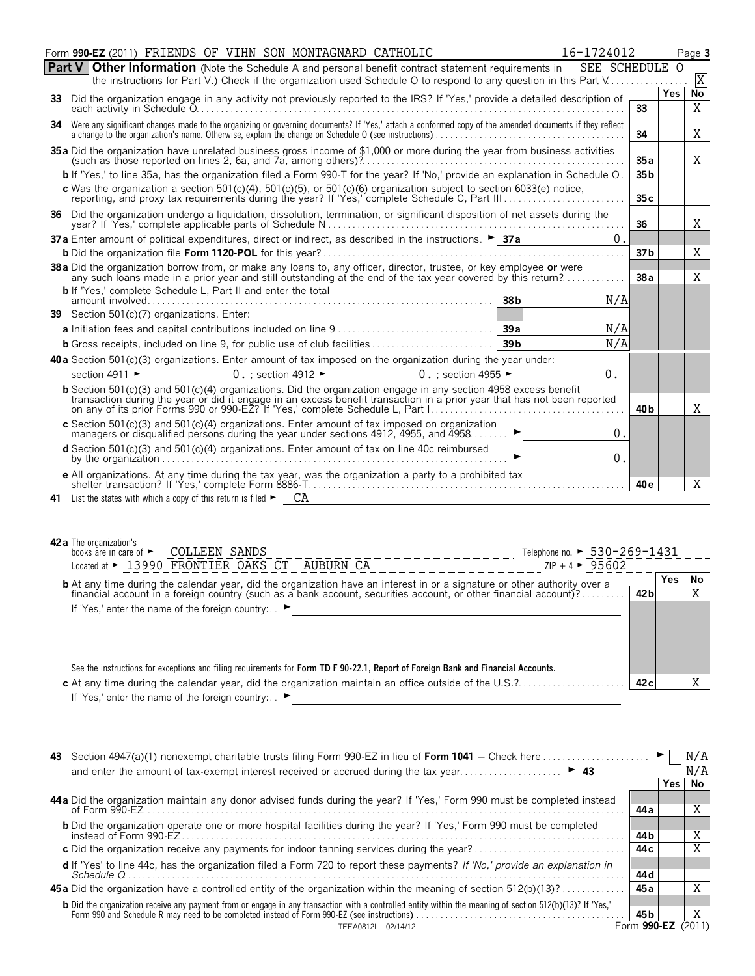| <b>Part V Other Information</b> (Note the Schedule A and personal benefit contract statement requirements in<br>SEE SCHEDULE O<br>X<br>the instructions for Part V.) Check if the organization used Schedule O to respond to any question in this Part V<br><b>Yes</b><br>No<br>33 Did the organization engage in any activity not previously reported to the IRS? If 'Yes,' provide a detailed description of<br>33<br>Χ<br>34 Were any significant changes made to the organizing or governing documents? If 'Yes,' attach a conformed copy of the amended documents if they reflect<br>34<br>X.<br>35 a Did the organization have unrelated business gross income of \$1,000 or more during the year from business activities<br>35a<br>X<br>b If 'Yes,' to line 35a, has the organization filed a Form 990-T for the year? If 'No,' provide an explanation in Schedule O.<br>35 <sub>b</sub><br>c Was the organization a section $501(c)(4)$ , $501(c)(5)$ , or $501(c)(6)$ organization subject to section 6033(e) notice,<br>reporting, and proxy tax requirements during the year? If 'Yes,' complete Schedule C, Part III<br>35c<br>36 Did the organization undergo a liquidation, dissolution, termination, or significant disposition of net assets during the<br>Χ<br>36<br>37a Enter amount of political expenditures, direct or indirect, as described in the instructions. $\blacktriangleright$ 37a<br>0.<br>Χ<br>37 <sub>b</sub><br>38 a Did the organization borrow from, or make any loans to, any officer, director, trustee, or key employee or were<br>X<br>any such loans made in a prior year and still outstanding at the end of the tax year covered by this return?<br>38a<br><b>b</b> If 'Yes,' complete Schedule L, Part II and enter the total<br>38 <sub>b</sub><br>N/A<br>39 Section 501(c)(7) organizations. Enter:<br>N/A<br>39a<br>39 <sub>b</sub><br>N/A<br><b>b</b> Gross receipts, included on line 9, for public use of club facilities<br>40 a Section 501(c)(3) organizations. Enter amount of tax imposed on the organization during the year under:<br>$0.$ ; section 4912 $\blacktriangleright$<br>section 4911 ►<br>0.; section 4955 $\blacktriangleright$<br>0.<br>b Section 501(c)(3) and 501(c)(4) organizations. Did the organization engage in any section 4958 excess benefit<br>transaction during the year or did it engage in an excess benefit transaction in a prior year that has not been reported<br>X<br>40 b<br>c Section 501(c)(3) and 501(c)(4) organizations. Enter amount of tax imposed on organization<br>managers or disqualified persons during the year under sections 4912, 4955, and 4958<br>0.<br><b>d</b> Section 501(c)(3) and 501(c)(4) organizations. Enter amount of tax on line 40c reimbursed<br>0.<br>e All organizations. At any time during the tax year, was the organization a party to a prohibited tax<br>Χ<br>40 e<br><b>42 a</b> The organization's<br><b>COLLEEN SANDS</b><br>Telephone no. ► 530-269-1431<br>books are in care of $\blacktriangleright$<br>Located at > 13990 FRONTIER OAKS CT AUBURN CA<br>$ZIP + 4$ $\triangleright$ 95602<br>Yes<br>No<br><b>b</b> At any time during the calendar year, did the organization have an interest in or a signature or other authority over a<br>X<br>42 bl<br>financial account in a foreign country (such as a bank account, securities account, or other financial account)?<br>If 'Yes,' enter the name of the foreign country: . ▶<br>See the instructions for exceptions and filing requirements for Form TD F 90-22.1, Report of Foreign Bank and Financial Accounts.<br>Χ<br>42 c<br>If 'Yes,' enter the name of the foreign country: ▶ | Form 990-EZ (2011) FRIENDS OF VIHN SON MONTAGNARD CATHOLIC<br>16-1724012 |  | Page 3 |
|-------------------------------------------------------------------------------------------------------------------------------------------------------------------------------------------------------------------------------------------------------------------------------------------------------------------------------------------------------------------------------------------------------------------------------------------------------------------------------------------------------------------------------------------------------------------------------------------------------------------------------------------------------------------------------------------------------------------------------------------------------------------------------------------------------------------------------------------------------------------------------------------------------------------------------------------------------------------------------------------------------------------------------------------------------------------------------------------------------------------------------------------------------------------------------------------------------------------------------------------------------------------------------------------------------------------------------------------------------------------------------------------------------------------------------------------------------------------------------------------------------------------------------------------------------------------------------------------------------------------------------------------------------------------------------------------------------------------------------------------------------------------------------------------------------------------------------------------------------------------------------------------------------------------------------------------------------------------------------------------------------------------------------------------------------------------------------------------------------------------------------------------------------------------------------------------------------------------------------------------------------------------------------------------------------------------------------------------------------------------------------------------------------------------------------------------------------------------------------------------------------------------------------------------------------------------------------------------------------------------------------------------------------------------------------------------------------------------------------------------------------------------------------------------------------------------------------------------------------------------------------------------------------------------------------------------------------------------------------------------------------------------------------------------------------------------------------------------------------------------------------------------------------------------------------------------------------------------------------------------------------------------------------------------------------------------------------------------------------------------------------------------------------------------------------------------------------------------------------------------------------------------------------------------------------------------------------------------------------------------------------------------------------------------------------------------|--------------------------------------------------------------------------|--|--------|
|                                                                                                                                                                                                                                                                                                                                                                                                                                                                                                                                                                                                                                                                                                                                                                                                                                                                                                                                                                                                                                                                                                                                                                                                                                                                                                                                                                                                                                                                                                                                                                                                                                                                                                                                                                                                                                                                                                                                                                                                                                                                                                                                                                                                                                                                                                                                                                                                                                                                                                                                                                                                                                                                                                                                                                                                                                                                                                                                                                                                                                                                                                                                                                                                                                                                                                                                                                                                                                                                                                                                                                                                                                                                                           |                                                                          |  |        |
|                                                                                                                                                                                                                                                                                                                                                                                                                                                                                                                                                                                                                                                                                                                                                                                                                                                                                                                                                                                                                                                                                                                                                                                                                                                                                                                                                                                                                                                                                                                                                                                                                                                                                                                                                                                                                                                                                                                                                                                                                                                                                                                                                                                                                                                                                                                                                                                                                                                                                                                                                                                                                                                                                                                                                                                                                                                                                                                                                                                                                                                                                                                                                                                                                                                                                                                                                                                                                                                                                                                                                                                                                                                                                           |                                                                          |  |        |
|                                                                                                                                                                                                                                                                                                                                                                                                                                                                                                                                                                                                                                                                                                                                                                                                                                                                                                                                                                                                                                                                                                                                                                                                                                                                                                                                                                                                                                                                                                                                                                                                                                                                                                                                                                                                                                                                                                                                                                                                                                                                                                                                                                                                                                                                                                                                                                                                                                                                                                                                                                                                                                                                                                                                                                                                                                                                                                                                                                                                                                                                                                                                                                                                                                                                                                                                                                                                                                                                                                                                                                                                                                                                                           |                                                                          |  |        |
|                                                                                                                                                                                                                                                                                                                                                                                                                                                                                                                                                                                                                                                                                                                                                                                                                                                                                                                                                                                                                                                                                                                                                                                                                                                                                                                                                                                                                                                                                                                                                                                                                                                                                                                                                                                                                                                                                                                                                                                                                                                                                                                                                                                                                                                                                                                                                                                                                                                                                                                                                                                                                                                                                                                                                                                                                                                                                                                                                                                                                                                                                                                                                                                                                                                                                                                                                                                                                                                                                                                                                                                                                                                                                           |                                                                          |  |        |
|                                                                                                                                                                                                                                                                                                                                                                                                                                                                                                                                                                                                                                                                                                                                                                                                                                                                                                                                                                                                                                                                                                                                                                                                                                                                                                                                                                                                                                                                                                                                                                                                                                                                                                                                                                                                                                                                                                                                                                                                                                                                                                                                                                                                                                                                                                                                                                                                                                                                                                                                                                                                                                                                                                                                                                                                                                                                                                                                                                                                                                                                                                                                                                                                                                                                                                                                                                                                                                                                                                                                                                                                                                                                                           |                                                                          |  |        |
|                                                                                                                                                                                                                                                                                                                                                                                                                                                                                                                                                                                                                                                                                                                                                                                                                                                                                                                                                                                                                                                                                                                                                                                                                                                                                                                                                                                                                                                                                                                                                                                                                                                                                                                                                                                                                                                                                                                                                                                                                                                                                                                                                                                                                                                                                                                                                                                                                                                                                                                                                                                                                                                                                                                                                                                                                                                                                                                                                                                                                                                                                                                                                                                                                                                                                                                                                                                                                                                                                                                                                                                                                                                                                           |                                                                          |  |        |
|                                                                                                                                                                                                                                                                                                                                                                                                                                                                                                                                                                                                                                                                                                                                                                                                                                                                                                                                                                                                                                                                                                                                                                                                                                                                                                                                                                                                                                                                                                                                                                                                                                                                                                                                                                                                                                                                                                                                                                                                                                                                                                                                                                                                                                                                                                                                                                                                                                                                                                                                                                                                                                                                                                                                                                                                                                                                                                                                                                                                                                                                                                                                                                                                                                                                                                                                                                                                                                                                                                                                                                                                                                                                                           |                                                                          |  |        |
|                                                                                                                                                                                                                                                                                                                                                                                                                                                                                                                                                                                                                                                                                                                                                                                                                                                                                                                                                                                                                                                                                                                                                                                                                                                                                                                                                                                                                                                                                                                                                                                                                                                                                                                                                                                                                                                                                                                                                                                                                                                                                                                                                                                                                                                                                                                                                                                                                                                                                                                                                                                                                                                                                                                                                                                                                                                                                                                                                                                                                                                                                                                                                                                                                                                                                                                                                                                                                                                                                                                                                                                                                                                                                           |                                                                          |  |        |
|                                                                                                                                                                                                                                                                                                                                                                                                                                                                                                                                                                                                                                                                                                                                                                                                                                                                                                                                                                                                                                                                                                                                                                                                                                                                                                                                                                                                                                                                                                                                                                                                                                                                                                                                                                                                                                                                                                                                                                                                                                                                                                                                                                                                                                                                                                                                                                                                                                                                                                                                                                                                                                                                                                                                                                                                                                                                                                                                                                                                                                                                                                                                                                                                                                                                                                                                                                                                                                                                                                                                                                                                                                                                                           |                                                                          |  |        |
|                                                                                                                                                                                                                                                                                                                                                                                                                                                                                                                                                                                                                                                                                                                                                                                                                                                                                                                                                                                                                                                                                                                                                                                                                                                                                                                                                                                                                                                                                                                                                                                                                                                                                                                                                                                                                                                                                                                                                                                                                                                                                                                                                                                                                                                                                                                                                                                                                                                                                                                                                                                                                                                                                                                                                                                                                                                                                                                                                                                                                                                                                                                                                                                                                                                                                                                                                                                                                                                                                                                                                                                                                                                                                           |                                                                          |  |        |
|                                                                                                                                                                                                                                                                                                                                                                                                                                                                                                                                                                                                                                                                                                                                                                                                                                                                                                                                                                                                                                                                                                                                                                                                                                                                                                                                                                                                                                                                                                                                                                                                                                                                                                                                                                                                                                                                                                                                                                                                                                                                                                                                                                                                                                                                                                                                                                                                                                                                                                                                                                                                                                                                                                                                                                                                                                                                                                                                                                                                                                                                                                                                                                                                                                                                                                                                                                                                                                                                                                                                                                                                                                                                                           |                                                                          |  |        |
|                                                                                                                                                                                                                                                                                                                                                                                                                                                                                                                                                                                                                                                                                                                                                                                                                                                                                                                                                                                                                                                                                                                                                                                                                                                                                                                                                                                                                                                                                                                                                                                                                                                                                                                                                                                                                                                                                                                                                                                                                                                                                                                                                                                                                                                                                                                                                                                                                                                                                                                                                                                                                                                                                                                                                                                                                                                                                                                                                                                                                                                                                                                                                                                                                                                                                                                                                                                                                                                                                                                                                                                                                                                                                           |                                                                          |  |        |
|                                                                                                                                                                                                                                                                                                                                                                                                                                                                                                                                                                                                                                                                                                                                                                                                                                                                                                                                                                                                                                                                                                                                                                                                                                                                                                                                                                                                                                                                                                                                                                                                                                                                                                                                                                                                                                                                                                                                                                                                                                                                                                                                                                                                                                                                                                                                                                                                                                                                                                                                                                                                                                                                                                                                                                                                                                                                                                                                                                                                                                                                                                                                                                                                                                                                                                                                                                                                                                                                                                                                                                                                                                                                                           |                                                                          |  |        |
|                                                                                                                                                                                                                                                                                                                                                                                                                                                                                                                                                                                                                                                                                                                                                                                                                                                                                                                                                                                                                                                                                                                                                                                                                                                                                                                                                                                                                                                                                                                                                                                                                                                                                                                                                                                                                                                                                                                                                                                                                                                                                                                                                                                                                                                                                                                                                                                                                                                                                                                                                                                                                                                                                                                                                                                                                                                                                                                                                                                                                                                                                                                                                                                                                                                                                                                                                                                                                                                                                                                                                                                                                                                                                           |                                                                          |  |        |
|                                                                                                                                                                                                                                                                                                                                                                                                                                                                                                                                                                                                                                                                                                                                                                                                                                                                                                                                                                                                                                                                                                                                                                                                                                                                                                                                                                                                                                                                                                                                                                                                                                                                                                                                                                                                                                                                                                                                                                                                                                                                                                                                                                                                                                                                                                                                                                                                                                                                                                                                                                                                                                                                                                                                                                                                                                                                                                                                                                                                                                                                                                                                                                                                                                                                                                                                                                                                                                                                                                                                                                                                                                                                                           |                                                                          |  |        |
|                                                                                                                                                                                                                                                                                                                                                                                                                                                                                                                                                                                                                                                                                                                                                                                                                                                                                                                                                                                                                                                                                                                                                                                                                                                                                                                                                                                                                                                                                                                                                                                                                                                                                                                                                                                                                                                                                                                                                                                                                                                                                                                                                                                                                                                                                                                                                                                                                                                                                                                                                                                                                                                                                                                                                                                                                                                                                                                                                                                                                                                                                                                                                                                                                                                                                                                                                                                                                                                                                                                                                                                                                                                                                           |                                                                          |  |        |
|                                                                                                                                                                                                                                                                                                                                                                                                                                                                                                                                                                                                                                                                                                                                                                                                                                                                                                                                                                                                                                                                                                                                                                                                                                                                                                                                                                                                                                                                                                                                                                                                                                                                                                                                                                                                                                                                                                                                                                                                                                                                                                                                                                                                                                                                                                                                                                                                                                                                                                                                                                                                                                                                                                                                                                                                                                                                                                                                                                                                                                                                                                                                                                                                                                                                                                                                                                                                                                                                                                                                                                                                                                                                                           |                                                                          |  |        |
|                                                                                                                                                                                                                                                                                                                                                                                                                                                                                                                                                                                                                                                                                                                                                                                                                                                                                                                                                                                                                                                                                                                                                                                                                                                                                                                                                                                                                                                                                                                                                                                                                                                                                                                                                                                                                                                                                                                                                                                                                                                                                                                                                                                                                                                                                                                                                                                                                                                                                                                                                                                                                                                                                                                                                                                                                                                                                                                                                                                                                                                                                                                                                                                                                                                                                                                                                                                                                                                                                                                                                                                                                                                                                           |                                                                          |  |        |
|                                                                                                                                                                                                                                                                                                                                                                                                                                                                                                                                                                                                                                                                                                                                                                                                                                                                                                                                                                                                                                                                                                                                                                                                                                                                                                                                                                                                                                                                                                                                                                                                                                                                                                                                                                                                                                                                                                                                                                                                                                                                                                                                                                                                                                                                                                                                                                                                                                                                                                                                                                                                                                                                                                                                                                                                                                                                                                                                                                                                                                                                                                                                                                                                                                                                                                                                                                                                                                                                                                                                                                                                                                                                                           |                                                                          |  |        |
|                                                                                                                                                                                                                                                                                                                                                                                                                                                                                                                                                                                                                                                                                                                                                                                                                                                                                                                                                                                                                                                                                                                                                                                                                                                                                                                                                                                                                                                                                                                                                                                                                                                                                                                                                                                                                                                                                                                                                                                                                                                                                                                                                                                                                                                                                                                                                                                                                                                                                                                                                                                                                                                                                                                                                                                                                                                                                                                                                                                                                                                                                                                                                                                                                                                                                                                                                                                                                                                                                                                                                                                                                                                                                           |                                                                          |  |        |
|                                                                                                                                                                                                                                                                                                                                                                                                                                                                                                                                                                                                                                                                                                                                                                                                                                                                                                                                                                                                                                                                                                                                                                                                                                                                                                                                                                                                                                                                                                                                                                                                                                                                                                                                                                                                                                                                                                                                                                                                                                                                                                                                                                                                                                                                                                                                                                                                                                                                                                                                                                                                                                                                                                                                                                                                                                                                                                                                                                                                                                                                                                                                                                                                                                                                                                                                                                                                                                                                                                                                                                                                                                                                                           |                                                                          |  |        |
|                                                                                                                                                                                                                                                                                                                                                                                                                                                                                                                                                                                                                                                                                                                                                                                                                                                                                                                                                                                                                                                                                                                                                                                                                                                                                                                                                                                                                                                                                                                                                                                                                                                                                                                                                                                                                                                                                                                                                                                                                                                                                                                                                                                                                                                                                                                                                                                                                                                                                                                                                                                                                                                                                                                                                                                                                                                                                                                                                                                                                                                                                                                                                                                                                                                                                                                                                                                                                                                                                                                                                                                                                                                                                           |                                                                          |  |        |
|                                                                                                                                                                                                                                                                                                                                                                                                                                                                                                                                                                                                                                                                                                                                                                                                                                                                                                                                                                                                                                                                                                                                                                                                                                                                                                                                                                                                                                                                                                                                                                                                                                                                                                                                                                                                                                                                                                                                                                                                                                                                                                                                                                                                                                                                                                                                                                                                                                                                                                                                                                                                                                                                                                                                                                                                                                                                                                                                                                                                                                                                                                                                                                                                                                                                                                                                                                                                                                                                                                                                                                                                                                                                                           |                                                                          |  |        |
|                                                                                                                                                                                                                                                                                                                                                                                                                                                                                                                                                                                                                                                                                                                                                                                                                                                                                                                                                                                                                                                                                                                                                                                                                                                                                                                                                                                                                                                                                                                                                                                                                                                                                                                                                                                                                                                                                                                                                                                                                                                                                                                                                                                                                                                                                                                                                                                                                                                                                                                                                                                                                                                                                                                                                                                                                                                                                                                                                                                                                                                                                                                                                                                                                                                                                                                                                                                                                                                                                                                                                                                                                                                                                           |                                                                          |  |        |
|                                                                                                                                                                                                                                                                                                                                                                                                                                                                                                                                                                                                                                                                                                                                                                                                                                                                                                                                                                                                                                                                                                                                                                                                                                                                                                                                                                                                                                                                                                                                                                                                                                                                                                                                                                                                                                                                                                                                                                                                                                                                                                                                                                                                                                                                                                                                                                                                                                                                                                                                                                                                                                                                                                                                                                                                                                                                                                                                                                                                                                                                                                                                                                                                                                                                                                                                                                                                                                                                                                                                                                                                                                                                                           |                                                                          |  |        |
|                                                                                                                                                                                                                                                                                                                                                                                                                                                                                                                                                                                                                                                                                                                                                                                                                                                                                                                                                                                                                                                                                                                                                                                                                                                                                                                                                                                                                                                                                                                                                                                                                                                                                                                                                                                                                                                                                                                                                                                                                                                                                                                                                                                                                                                                                                                                                                                                                                                                                                                                                                                                                                                                                                                                                                                                                                                                                                                                                                                                                                                                                                                                                                                                                                                                                                                                                                                                                                                                                                                                                                                                                                                                                           |                                                                          |  |        |
|                                                                                                                                                                                                                                                                                                                                                                                                                                                                                                                                                                                                                                                                                                                                                                                                                                                                                                                                                                                                                                                                                                                                                                                                                                                                                                                                                                                                                                                                                                                                                                                                                                                                                                                                                                                                                                                                                                                                                                                                                                                                                                                                                                                                                                                                                                                                                                                                                                                                                                                                                                                                                                                                                                                                                                                                                                                                                                                                                                                                                                                                                                                                                                                                                                                                                                                                                                                                                                                                                                                                                                                                                                                                                           |                                                                          |  |        |
|                                                                                                                                                                                                                                                                                                                                                                                                                                                                                                                                                                                                                                                                                                                                                                                                                                                                                                                                                                                                                                                                                                                                                                                                                                                                                                                                                                                                                                                                                                                                                                                                                                                                                                                                                                                                                                                                                                                                                                                                                                                                                                                                                                                                                                                                                                                                                                                                                                                                                                                                                                                                                                                                                                                                                                                                                                                                                                                                                                                                                                                                                                                                                                                                                                                                                                                                                                                                                                                                                                                                                                                                                                                                                           |                                                                          |  |        |

| 43                                                                                                                                                                                                                                     |             |       | N/A   |
|----------------------------------------------------------------------------------------------------------------------------------------------------------------------------------------------------------------------------------------|-------------|-------|-------|
| ►∣<br>and enter the amount of tax-exempt interest received or accrued during the tax year<br>43                                                                                                                                        |             |       | N/A   |
|                                                                                                                                                                                                                                        |             | Yes I | No    |
| 44 a Did the organization maintain any donor advised funds during the year? If 'Yes,' Form 990 must be completed instead                                                                                                               | 44 а        |       |       |
| <b>b</b> Did the organization operate one or more hospital facilities during the year? If 'Yes,' Form 990 must be completed                                                                                                            | 44 b        |       | A     |
| c Did the organization receive any payments for indoor tanning services during the year?                                                                                                                                               | 44 с        |       | X     |
| d If 'Yes' to line 44c, has the organization filed a Form 720 to report these payments? If 'No,' provide an explanation in<br>Schedule O                                                                                               | 44 d        |       |       |
| <b>45a</b> Did the organization have a controlled entity of the organization within the meaning of section 512(b)(13)?                                                                                                                 | 45 a        |       |       |
| <b>b</b> Did the organization receive any payment from or engage in any transaction with a controlled entity within the meaning of section 512(b)(13)? If 'Yes,'<br>Form 990 and Schedule R may need to be completed instead of Form 9 | 45 b        |       | Χ     |
| TEEA0812L 02/14/12                                                                                                                                                                                                                     | Form 990-EZ |       | (2011 |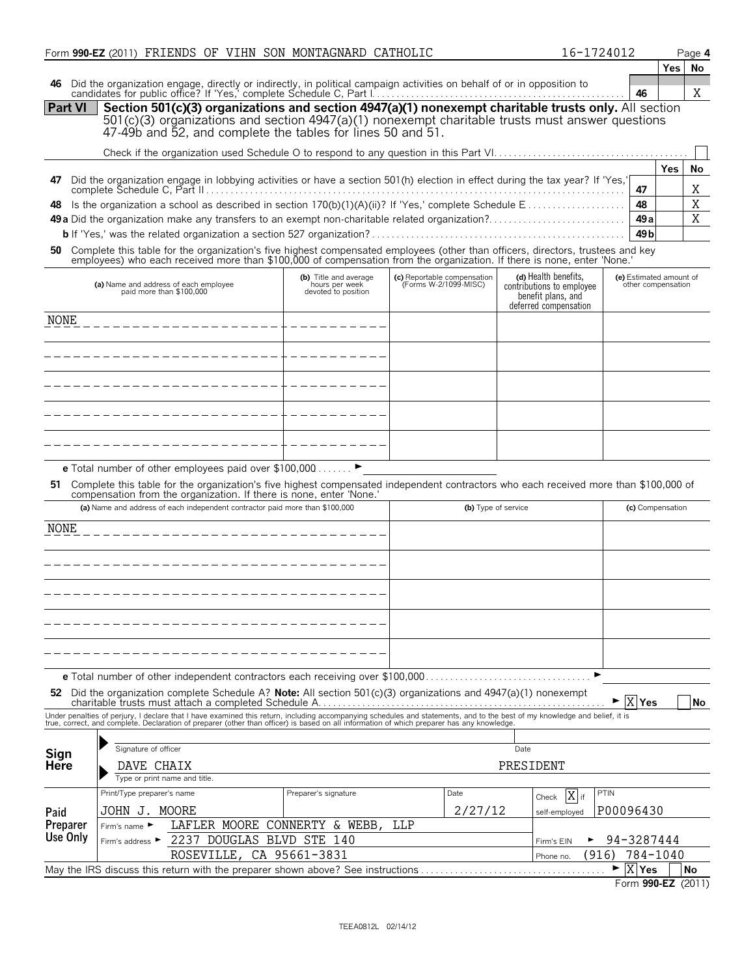|                | Form 990-EZ (2011) FRIENDS OF VIHN SON MONTAGNARD CATHOLIC                                                                                                                                                                        |                                       |     |                                                      |                                             | 16-1724012    |                                           |                         | Page 4    |
|----------------|-----------------------------------------------------------------------------------------------------------------------------------------------------------------------------------------------------------------------------------|---------------------------------------|-----|------------------------------------------------------|---------------------------------------------|---------------|-------------------------------------------|-------------------------|-----------|
|                |                                                                                                                                                                                                                                   |                                       |     |                                                      |                                             |               |                                           | Yes                     | No        |
| 46             |                                                                                                                                                                                                                                   |                                       |     |                                                      |                                             |               |                                           |                         |           |
|                | Did the organization engage, directly or indirectly, in political campaign activities on behalf of or in opposition to candidates for public office? If 'Yes,' complete Schedule C, Part I.                                       |                                       |     |                                                      |                                             |               | 46                                        |                         | X         |
| <b>Part VI</b> | Section 501(c)(3) organizations and section 4947(a)(1) nonexempt charitable trusts only. All section                                                                                                                              |                                       |     |                                                      |                                             |               |                                           |                         |           |
|                | 501(c)(3) organizations and section 4947(a)(1) nonexempt charitable trusts must answer questions                                                                                                                                  |                                       |     |                                                      |                                             |               |                                           |                         |           |
|                | 47-49b and 52, and complete the tables for lines 50 and 51.                                                                                                                                                                       |                                       |     |                                                      |                                             |               |                                           |                         |           |
|                |                                                                                                                                                                                                                                   |                                       |     |                                                      |                                             |               |                                           |                         |           |
|                |                                                                                                                                                                                                                                   |                                       |     |                                                      |                                             |               |                                           | Yes                     | No        |
| 47             | Did the organization engage in lobbying activities or have a section 501(h) election in effect during the tax year? If 'Yes,'                                                                                                     |                                       |     |                                                      |                                             |               |                                           |                         |           |
|                |                                                                                                                                                                                                                                   |                                       |     |                                                      |                                             |               | 47                                        |                         | Χ         |
| 48             |                                                                                                                                                                                                                                   |                                       |     |                                                      |                                             |               | 48                                        |                         | X         |
|                |                                                                                                                                                                                                                                   |                                       |     |                                                      |                                             |               | 49a                                       |                         | X         |
|                |                                                                                                                                                                                                                                   |                                       |     |                                                      |                                             |               | 49 <sub>b</sub>                           |                         |           |
| 50             | Complete this table for the organization's five highest compensated employees (other than officers, directors, trustees and key                                                                                                   |                                       |     |                                                      |                                             |               |                                           |                         |           |
|                | employees) who each received more than \$100,000 of compensation from the organization. If there is none, enter 'None.                                                                                                            |                                       |     |                                                      |                                             |               |                                           |                         |           |
|                |                                                                                                                                                                                                                                   | (b) Title and average                 |     |                                                      | (d) Health benefits,                        |               |                                           | (e) Estimated amount of |           |
|                | (a) Name and address of each employee<br>paid more than \$100,000                                                                                                                                                                 | hours per week<br>devoted to position |     | (c) Reportable compensation<br>(Forms W-2/1099-MISC) | contributions to employee                   |               |                                           | other compensation      |           |
|                |                                                                                                                                                                                                                                   |                                       |     |                                                      | benefit plans, and<br>deferred compensation |               |                                           |                         |           |
| <b>NONE</b>    |                                                                                                                                                                                                                                   |                                       |     |                                                      |                                             |               |                                           |                         |           |
|                |                                                                                                                                                                                                                                   |                                       |     |                                                      |                                             |               |                                           |                         |           |
|                |                                                                                                                                                                                                                                   |                                       |     |                                                      |                                             |               |                                           |                         |           |
|                | __________________________________                                                                                                                                                                                                |                                       |     |                                                      |                                             |               |                                           |                         |           |
|                |                                                                                                                                                                                                                                   |                                       |     |                                                      |                                             |               |                                           |                         |           |
|                | ---------------------+-------                                                                                                                                                                                                     |                                       |     |                                                      |                                             |               |                                           |                         |           |
|                |                                                                                                                                                                                                                                   |                                       |     |                                                      |                                             |               |                                           |                         |           |
|                | ____________________________                                                                                                                                                                                                      |                                       |     |                                                      |                                             |               |                                           |                         |           |
|                |                                                                                                                                                                                                                                   |                                       |     |                                                      |                                             |               |                                           |                         |           |
|                | --------------------                                                                                                                                                                                                              |                                       |     |                                                      |                                             |               |                                           |                         |           |
|                |                                                                                                                                                                                                                                   |                                       |     |                                                      |                                             |               |                                           |                         |           |
|                | e Total number of other employees paid over \$100,000                                                                                                                                                                             | ►                                     |     |                                                      |                                             |               |                                           |                         |           |
| 51.            |                                                                                                                                                                                                                                   |                                       |     |                                                      |                                             |               |                                           |                         |           |
|                | Complete this table for the organization's five highest compensated independent contractors who each received more than \$100,000 of compensation from the organization. If there is none, enter 'None.'                          |                                       |     |                                                      |                                             |               |                                           |                         |           |
|                | (a) Name and address of each independent contractor paid more than \$100,000                                                                                                                                                      |                                       |     |                                                      | (b) Type of service                         |               |                                           | (c) Compensation        |           |
| NONE           |                                                                                                                                                                                                                                   |                                       |     |                                                      |                                             |               |                                           |                         |           |
|                |                                                                                                                                                                                                                                   |                                       |     |                                                      |                                             |               |                                           |                         |           |
|                |                                                                                                                                                                                                                                   |                                       |     |                                                      |                                             |               |                                           |                         |           |
|                |                                                                                                                                                                                                                                   |                                       |     |                                                      |                                             |               |                                           |                         |           |
|                |                                                                                                                                                                                                                                   |                                       |     |                                                      |                                             |               |                                           |                         |           |
|                |                                                                                                                                                                                                                                   |                                       |     |                                                      |                                             |               |                                           |                         |           |
|                |                                                                                                                                                                                                                                   |                                       |     |                                                      |                                             |               |                                           |                         |           |
|                |                                                                                                                                                                                                                                   |                                       |     |                                                      |                                             |               |                                           |                         |           |
|                |                                                                                                                                                                                                                                   |                                       |     |                                                      |                                             |               |                                           |                         |           |
|                |                                                                                                                                                                                                                                   |                                       |     |                                                      |                                             |               |                                           |                         |           |
|                |                                                                                                                                                                                                                                   |                                       |     |                                                      |                                             |               |                                           |                         |           |
|                | <b>e</b> Total number of other independent contractors each receiving over \$100,000                                                                                                                                              |                                       |     |                                                      |                                             | ►             |                                           |                         |           |
|                | 52 Did the organization complete Schedule A? Note: All section 501(c)(3) organizations and $4947(a)(1)$ nonexempt                                                                                                                 |                                       |     |                                                      |                                             |               |                                           |                         |           |
|                |                                                                                                                                                                                                                                   |                                       |     |                                                      |                                             |               | $\blacktriangleright$ $\mid$ X $\mid$ Yes |                         | <b>No</b> |
|                | Under penalties of perjury, I declare that I have examined this return, including accompanying schedules and statements, and to the best of my knowledge and belief, it is<br>true, correct, and complete. Declaration of prepare |                                       |     |                                                      |                                             |               |                                           |                         |           |
|                |                                                                                                                                                                                                                                   |                                       |     |                                                      |                                             |               |                                           |                         |           |
| Sign           | Signature of officer                                                                                                                                                                                                              |                                       |     |                                                      | Date                                        |               |                                           |                         |           |
| <b>Here</b>    | DAVE CHAIX                                                                                                                                                                                                                        |                                       |     |                                                      | PRESIDENT                                   |               |                                           |                         |           |
|                | Type or print name and title.                                                                                                                                                                                                     |                                       |     |                                                      |                                             |               |                                           |                         |           |
|                | Print/Type preparer's name                                                                                                                                                                                                        | Preparer's signature                  |     | Date                                                 | Check                                       | $X$ if        | PTIN                                      |                         |           |
| Paid           | JOHN J. MOORE                                                                                                                                                                                                                     |                                       |     | 2/27/12                                              |                                             | self-employed | P00096430                                 |                         |           |
| Preparer       | LAFLER MOORE CONNERTY & WEBB,<br>Firm's name ▶                                                                                                                                                                                    |                                       | LLP |                                                      |                                             |               |                                           |                         |           |
| Use Only       | 2237 DOUGLAS BLVD STE 140<br>Firm's address ▶                                                                                                                                                                                     |                                       |     |                                                      | Firm's EIN                                  |               | 94-3287444                                |                         |           |
|                | ROSEVILLE, CA 95661-3831                                                                                                                                                                                                          |                                       |     |                                                      | Phone no.                                   | (916)         |                                           | 784-1040                |           |
|                | May the IRS discuss this return with the preparer shown above? See instructions                                                                                                                                                   |                                       |     |                                                      |                                             |               | X Yes<br>▶                                |                         | No        |
|                |                                                                                                                                                                                                                                   |                                       |     |                                                      |                                             |               |                                           |                         |           |

Form **990-EZ** (2011)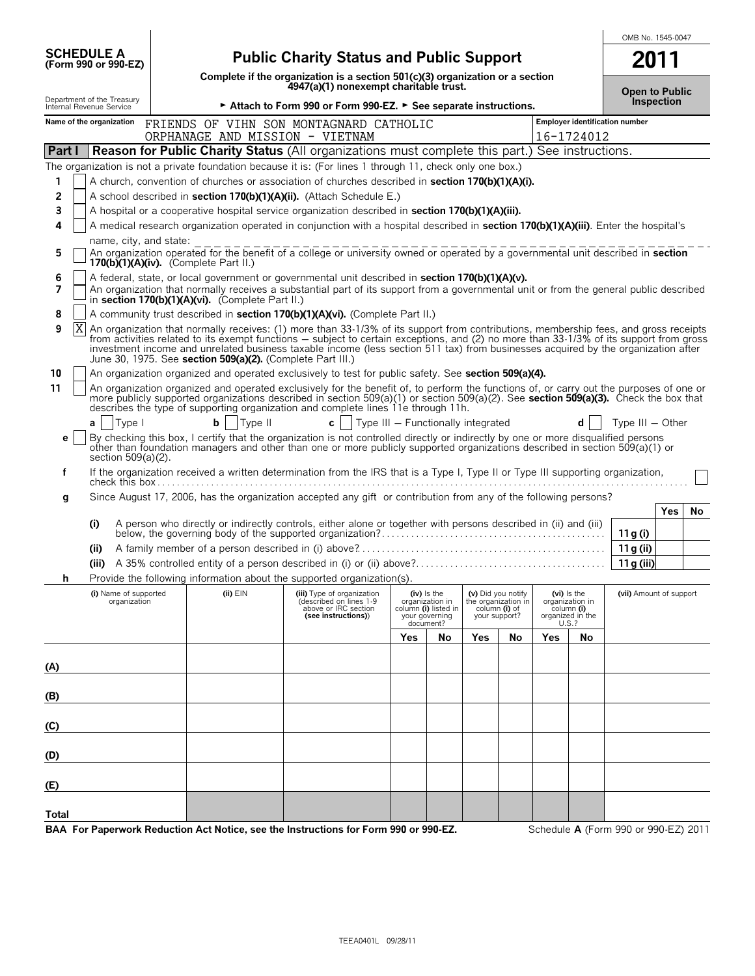| <b>Public Charity Status and Public Support</b><br>2011<br>Complete if the organization is a section 501(c)(3) organization or a section<br>4947(a)(1) nonexempt charitable trust.<br><b>Open to Public</b><br><b>Inspection</b><br>► Attach to Form 990 or Form 990-EZ. ► See separate instructions.<br>Employer identification number<br>FRIENDS OF VIHN SON MONTAGNARD CATHOLIC<br>ORPHANAGE AND MISSION - VIETNAM<br>16-1724012<br><b>Reason for Public Charity Status (All organizations must complete this part.) See instructions.</b><br>The organization is not a private foundation because it is: (For lines 1 through 11, check only one box.)<br>1<br>A church, convention of churches or association of churches described in <b>section 170(b)(1)(A)(i).</b><br>2<br>A school described in section 170(b)(1)(A)(ii). (Attach Schedule E.)<br>3<br>A hospital or a cooperative hospital service organization described in section 170(b)(1)(A)(iii).<br>A medical research organization operated in conjunction with a hospital described in section 170(b)(1)(A)(iii). Enter the hospital's<br>4<br>name, city, and state:<br>An organization operated for the benefit of a college or university owned or operated by a governmental unit described in section<br>5<br>170(b) $(1)(A)(iv)$ . (Complete Part II.)<br>A federal, state, or local government or governmental unit described in section 170(b)(1)(A)(v).<br>6<br>7<br>An organization that normally receives a substantial part of its support from a governmental unit or from the general public described<br>in section 170(b)(1)(A)(vi). (Complete Part II.)<br>A community trust described in section 170(b)(1)(A)(vi). (Complete Part II.)<br>8<br>9<br>ΙX<br>An organization that normally receives: (1) more than 33-1/3% of its support from contributions, membership fees, and gross receipts<br>from activities related to its exempt functions – subject to certain exceptions, and (2) no more than 33-1/3% of its support from gross<br>investment income and unrelated business taxable income (less section 511 tax) from businesses acquired by the organization after<br>June 30, 1975. See section 509(a)(2). (Complete Part III.)<br>10<br>An organization organized and operated exclusively to test for public safety. See section 509(a)(4).<br>11<br>An organization organized and operated exclusively for the benefit of, to perform the functions of, or carry out the purposes of one or<br>more publicly supported organizations described in section 509(a)(1) or section 509(a)(2). See section 509(a)(3). Check the box that describes the type of supporting organization and complete lines 11e through 11h.<br>b<br>Type II<br> Type <br>c l<br>$\blacksquare$ Type III $-$ Functionally integrated<br>Type $III - Other$<br>a l<br>By checking this box, I certify that the organization is not controlled directly or indirectly by one or more disqualified persons<br>е<br>other than foundation managers and other than one or more publicly supported organizations described in section 509(a)(1) or<br>section 509(a)(2).<br>If the organization received a written determination from the IRS that is a Type I, Type II or Type III supporting organization,<br>f<br>Since August 17, 2006, has the organization accepted any gift or contribution from any of the following persons?<br>g<br>Yes<br>No<br>A person who directly or indirectly controls, either alone or together with persons described in (ii) and (iii)<br>(i)<br>11 g (i)<br>11g (ii)<br>(ii)<br>11 g (iii)<br>(iii)<br>Provide the following information about the supported organization(s).<br>(vii) Amount of support<br>(i) Name of supported<br>$(ii)$ $EIN$<br>(iii) Type of organization<br>(iv) is the<br>(v) Did you notify<br>(vi) is the<br>(described on lines 1-9<br>organization in<br>the organization in<br>organization<br>organization in<br>above or IRC section<br>column (i) listed in<br>column (i) of<br>column (i)<br>organized in the<br>(see instructions))<br>your governing<br>your support?<br>U.S.?<br>document?<br>Yes<br>Yes<br>No<br>Yes<br>No<br>No |                                                        |  |  |  |  |  |  | OMB No. 1545-0047 |
|-------------------------------------------------------------------------------------------------------------------------------------------------------------------------------------------------------------------------------------------------------------------------------------------------------------------------------------------------------------------------------------------------------------------------------------------------------------------------------------------------------------------------------------------------------------------------------------------------------------------------------------------------------------------------------------------------------------------------------------------------------------------------------------------------------------------------------------------------------------------------------------------------------------------------------------------------------------------------------------------------------------------------------------------------------------------------------------------------------------------------------------------------------------------------------------------------------------------------------------------------------------------------------------------------------------------------------------------------------------------------------------------------------------------------------------------------------------------------------------------------------------------------------------------------------------------------------------------------------------------------------------------------------------------------------------------------------------------------------------------------------------------------------------------------------------------------------------------------------------------------------------------------------------------------------------------------------------------------------------------------------------------------------------------------------------------------------------------------------------------------------------------------------------------------------------------------------------------------------------------------------------------------------------------------------------------------------------------------------------------------------------------------------------------------------------------------------------------------------------------------------------------------------------------------------------------------------------------------------------------------------------------------------------------------------------------------------------------------------------------------------------------------------------------------------------------------------------------------------------------------------------------------------------------------------------------------------------------------------------------------------------------------------------------------------------------------------------------------------------------------------------------------------------------------------------------------------------------------------------------------------------------------------------------------------------------------------------------------------------------------------------------------------------------------------------------------------------------------------------------------------------------------------------------------------------------------------------------------------------------------------------------------------------------------------------------------------------------------------------------------------------------------------------------------------------------------------------------------------------------------------------------------------------------------------------------------------------------------------------------------------------------------------------------------------------------------------------------------------------------------------------------------------------------------------------|--------------------------------------------------------|--|--|--|--|--|--|-------------------|
|                                                                                                                                                                                                                                                                                                                                                                                                                                                                                                                                                                                                                                                                                                                                                                                                                                                                                                                                                                                                                                                                                                                                                                                                                                                                                                                                                                                                                                                                                                                                                                                                                                                                                                                                                                                                                                                                                                                                                                                                                                                                                                                                                                                                                                                                                                                                                                                                                                                                                                                                                                                                                                                                                                                                                                                                                                                                                                                                                                                                                                                                                                                                                                                                                                                                                                                                                                                                                                                                                                                                                                                                                                                                                                                                                                                                                                                                                                                                                                                                                                                                                                                                                                                     | <b>SCHEDULE A</b><br>(Form 990 or 990-EZ)              |  |  |  |  |  |  |                   |
|                                                                                                                                                                                                                                                                                                                                                                                                                                                                                                                                                                                                                                                                                                                                                                                                                                                                                                                                                                                                                                                                                                                                                                                                                                                                                                                                                                                                                                                                                                                                                                                                                                                                                                                                                                                                                                                                                                                                                                                                                                                                                                                                                                                                                                                                                                                                                                                                                                                                                                                                                                                                                                                                                                                                                                                                                                                                                                                                                                                                                                                                                                                                                                                                                                                                                                                                                                                                                                                                                                                                                                                                                                                                                                                                                                                                                                                                                                                                                                                                                                                                                                                                                                                     |                                                        |  |  |  |  |  |  |                   |
|                                                                                                                                                                                                                                                                                                                                                                                                                                                                                                                                                                                                                                                                                                                                                                                                                                                                                                                                                                                                                                                                                                                                                                                                                                                                                                                                                                                                                                                                                                                                                                                                                                                                                                                                                                                                                                                                                                                                                                                                                                                                                                                                                                                                                                                                                                                                                                                                                                                                                                                                                                                                                                                                                                                                                                                                                                                                                                                                                                                                                                                                                                                                                                                                                                                                                                                                                                                                                                                                                                                                                                                                                                                                                                                                                                                                                                                                                                                                                                                                                                                                                                                                                                                     | Department of the Treasury<br>Internal Revenue Service |  |  |  |  |  |  |                   |
|                                                                                                                                                                                                                                                                                                                                                                                                                                                                                                                                                                                                                                                                                                                                                                                                                                                                                                                                                                                                                                                                                                                                                                                                                                                                                                                                                                                                                                                                                                                                                                                                                                                                                                                                                                                                                                                                                                                                                                                                                                                                                                                                                                                                                                                                                                                                                                                                                                                                                                                                                                                                                                                                                                                                                                                                                                                                                                                                                                                                                                                                                                                                                                                                                                                                                                                                                                                                                                                                                                                                                                                                                                                                                                                                                                                                                                                                                                                                                                                                                                                                                                                                                                                     | Name of the organization                               |  |  |  |  |  |  |                   |
|                                                                                                                                                                                                                                                                                                                                                                                                                                                                                                                                                                                                                                                                                                                                                                                                                                                                                                                                                                                                                                                                                                                                                                                                                                                                                                                                                                                                                                                                                                                                                                                                                                                                                                                                                                                                                                                                                                                                                                                                                                                                                                                                                                                                                                                                                                                                                                                                                                                                                                                                                                                                                                                                                                                                                                                                                                                                                                                                                                                                                                                                                                                                                                                                                                                                                                                                                                                                                                                                                                                                                                                                                                                                                                                                                                                                                                                                                                                                                                                                                                                                                                                                                                                     | Part I                                                 |  |  |  |  |  |  |                   |
|                                                                                                                                                                                                                                                                                                                                                                                                                                                                                                                                                                                                                                                                                                                                                                                                                                                                                                                                                                                                                                                                                                                                                                                                                                                                                                                                                                                                                                                                                                                                                                                                                                                                                                                                                                                                                                                                                                                                                                                                                                                                                                                                                                                                                                                                                                                                                                                                                                                                                                                                                                                                                                                                                                                                                                                                                                                                                                                                                                                                                                                                                                                                                                                                                                                                                                                                                                                                                                                                                                                                                                                                                                                                                                                                                                                                                                                                                                                                                                                                                                                                                                                                                                                     |                                                        |  |  |  |  |  |  |                   |
|                                                                                                                                                                                                                                                                                                                                                                                                                                                                                                                                                                                                                                                                                                                                                                                                                                                                                                                                                                                                                                                                                                                                                                                                                                                                                                                                                                                                                                                                                                                                                                                                                                                                                                                                                                                                                                                                                                                                                                                                                                                                                                                                                                                                                                                                                                                                                                                                                                                                                                                                                                                                                                                                                                                                                                                                                                                                                                                                                                                                                                                                                                                                                                                                                                                                                                                                                                                                                                                                                                                                                                                                                                                                                                                                                                                                                                                                                                                                                                                                                                                                                                                                                                                     |                                                        |  |  |  |  |  |  |                   |
|                                                                                                                                                                                                                                                                                                                                                                                                                                                                                                                                                                                                                                                                                                                                                                                                                                                                                                                                                                                                                                                                                                                                                                                                                                                                                                                                                                                                                                                                                                                                                                                                                                                                                                                                                                                                                                                                                                                                                                                                                                                                                                                                                                                                                                                                                                                                                                                                                                                                                                                                                                                                                                                                                                                                                                                                                                                                                                                                                                                                                                                                                                                                                                                                                                                                                                                                                                                                                                                                                                                                                                                                                                                                                                                                                                                                                                                                                                                                                                                                                                                                                                                                                                                     |                                                        |  |  |  |  |  |  |                   |
|                                                                                                                                                                                                                                                                                                                                                                                                                                                                                                                                                                                                                                                                                                                                                                                                                                                                                                                                                                                                                                                                                                                                                                                                                                                                                                                                                                                                                                                                                                                                                                                                                                                                                                                                                                                                                                                                                                                                                                                                                                                                                                                                                                                                                                                                                                                                                                                                                                                                                                                                                                                                                                                                                                                                                                                                                                                                                                                                                                                                                                                                                                                                                                                                                                                                                                                                                                                                                                                                                                                                                                                                                                                                                                                                                                                                                                                                                                                                                                                                                                                                                                                                                                                     |                                                        |  |  |  |  |  |  |                   |
|                                                                                                                                                                                                                                                                                                                                                                                                                                                                                                                                                                                                                                                                                                                                                                                                                                                                                                                                                                                                                                                                                                                                                                                                                                                                                                                                                                                                                                                                                                                                                                                                                                                                                                                                                                                                                                                                                                                                                                                                                                                                                                                                                                                                                                                                                                                                                                                                                                                                                                                                                                                                                                                                                                                                                                                                                                                                                                                                                                                                                                                                                                                                                                                                                                                                                                                                                                                                                                                                                                                                                                                                                                                                                                                                                                                                                                                                                                                                                                                                                                                                                                                                                                                     |                                                        |  |  |  |  |  |  |                   |
|                                                                                                                                                                                                                                                                                                                                                                                                                                                                                                                                                                                                                                                                                                                                                                                                                                                                                                                                                                                                                                                                                                                                                                                                                                                                                                                                                                                                                                                                                                                                                                                                                                                                                                                                                                                                                                                                                                                                                                                                                                                                                                                                                                                                                                                                                                                                                                                                                                                                                                                                                                                                                                                                                                                                                                                                                                                                                                                                                                                                                                                                                                                                                                                                                                                                                                                                                                                                                                                                                                                                                                                                                                                                                                                                                                                                                                                                                                                                                                                                                                                                                                                                                                                     |                                                        |  |  |  |  |  |  |                   |
|                                                                                                                                                                                                                                                                                                                                                                                                                                                                                                                                                                                                                                                                                                                                                                                                                                                                                                                                                                                                                                                                                                                                                                                                                                                                                                                                                                                                                                                                                                                                                                                                                                                                                                                                                                                                                                                                                                                                                                                                                                                                                                                                                                                                                                                                                                                                                                                                                                                                                                                                                                                                                                                                                                                                                                                                                                                                                                                                                                                                                                                                                                                                                                                                                                                                                                                                                                                                                                                                                                                                                                                                                                                                                                                                                                                                                                                                                                                                                                                                                                                                                                                                                                                     |                                                        |  |  |  |  |  |  |                   |
|                                                                                                                                                                                                                                                                                                                                                                                                                                                                                                                                                                                                                                                                                                                                                                                                                                                                                                                                                                                                                                                                                                                                                                                                                                                                                                                                                                                                                                                                                                                                                                                                                                                                                                                                                                                                                                                                                                                                                                                                                                                                                                                                                                                                                                                                                                                                                                                                                                                                                                                                                                                                                                                                                                                                                                                                                                                                                                                                                                                                                                                                                                                                                                                                                                                                                                                                                                                                                                                                                                                                                                                                                                                                                                                                                                                                                                                                                                                                                                                                                                                                                                                                                                                     |                                                        |  |  |  |  |  |  |                   |
|                                                                                                                                                                                                                                                                                                                                                                                                                                                                                                                                                                                                                                                                                                                                                                                                                                                                                                                                                                                                                                                                                                                                                                                                                                                                                                                                                                                                                                                                                                                                                                                                                                                                                                                                                                                                                                                                                                                                                                                                                                                                                                                                                                                                                                                                                                                                                                                                                                                                                                                                                                                                                                                                                                                                                                                                                                                                                                                                                                                                                                                                                                                                                                                                                                                                                                                                                                                                                                                                                                                                                                                                                                                                                                                                                                                                                                                                                                                                                                                                                                                                                                                                                                                     |                                                        |  |  |  |  |  |  |                   |
|                                                                                                                                                                                                                                                                                                                                                                                                                                                                                                                                                                                                                                                                                                                                                                                                                                                                                                                                                                                                                                                                                                                                                                                                                                                                                                                                                                                                                                                                                                                                                                                                                                                                                                                                                                                                                                                                                                                                                                                                                                                                                                                                                                                                                                                                                                                                                                                                                                                                                                                                                                                                                                                                                                                                                                                                                                                                                                                                                                                                                                                                                                                                                                                                                                                                                                                                                                                                                                                                                                                                                                                                                                                                                                                                                                                                                                                                                                                                                                                                                                                                                                                                                                                     |                                                        |  |  |  |  |  |  |                   |
|                                                                                                                                                                                                                                                                                                                                                                                                                                                                                                                                                                                                                                                                                                                                                                                                                                                                                                                                                                                                                                                                                                                                                                                                                                                                                                                                                                                                                                                                                                                                                                                                                                                                                                                                                                                                                                                                                                                                                                                                                                                                                                                                                                                                                                                                                                                                                                                                                                                                                                                                                                                                                                                                                                                                                                                                                                                                                                                                                                                                                                                                                                                                                                                                                                                                                                                                                                                                                                                                                                                                                                                                                                                                                                                                                                                                                                                                                                                                                                                                                                                                                                                                                                                     |                                                        |  |  |  |  |  |  |                   |
|                                                                                                                                                                                                                                                                                                                                                                                                                                                                                                                                                                                                                                                                                                                                                                                                                                                                                                                                                                                                                                                                                                                                                                                                                                                                                                                                                                                                                                                                                                                                                                                                                                                                                                                                                                                                                                                                                                                                                                                                                                                                                                                                                                                                                                                                                                                                                                                                                                                                                                                                                                                                                                                                                                                                                                                                                                                                                                                                                                                                                                                                                                                                                                                                                                                                                                                                                                                                                                                                                                                                                                                                                                                                                                                                                                                                                                                                                                                                                                                                                                                                                                                                                                                     |                                                        |  |  |  |  |  |  |                   |
|                                                                                                                                                                                                                                                                                                                                                                                                                                                                                                                                                                                                                                                                                                                                                                                                                                                                                                                                                                                                                                                                                                                                                                                                                                                                                                                                                                                                                                                                                                                                                                                                                                                                                                                                                                                                                                                                                                                                                                                                                                                                                                                                                                                                                                                                                                                                                                                                                                                                                                                                                                                                                                                                                                                                                                                                                                                                                                                                                                                                                                                                                                                                                                                                                                                                                                                                                                                                                                                                                                                                                                                                                                                                                                                                                                                                                                                                                                                                                                                                                                                                                                                                                                                     |                                                        |  |  |  |  |  |  |                   |
|                                                                                                                                                                                                                                                                                                                                                                                                                                                                                                                                                                                                                                                                                                                                                                                                                                                                                                                                                                                                                                                                                                                                                                                                                                                                                                                                                                                                                                                                                                                                                                                                                                                                                                                                                                                                                                                                                                                                                                                                                                                                                                                                                                                                                                                                                                                                                                                                                                                                                                                                                                                                                                                                                                                                                                                                                                                                                                                                                                                                                                                                                                                                                                                                                                                                                                                                                                                                                                                                                                                                                                                                                                                                                                                                                                                                                                                                                                                                                                                                                                                                                                                                                                                     |                                                        |  |  |  |  |  |  |                   |
|                                                                                                                                                                                                                                                                                                                                                                                                                                                                                                                                                                                                                                                                                                                                                                                                                                                                                                                                                                                                                                                                                                                                                                                                                                                                                                                                                                                                                                                                                                                                                                                                                                                                                                                                                                                                                                                                                                                                                                                                                                                                                                                                                                                                                                                                                                                                                                                                                                                                                                                                                                                                                                                                                                                                                                                                                                                                                                                                                                                                                                                                                                                                                                                                                                                                                                                                                                                                                                                                                                                                                                                                                                                                                                                                                                                                                                                                                                                                                                                                                                                                                                                                                                                     |                                                        |  |  |  |  |  |  |                   |
|                                                                                                                                                                                                                                                                                                                                                                                                                                                                                                                                                                                                                                                                                                                                                                                                                                                                                                                                                                                                                                                                                                                                                                                                                                                                                                                                                                                                                                                                                                                                                                                                                                                                                                                                                                                                                                                                                                                                                                                                                                                                                                                                                                                                                                                                                                                                                                                                                                                                                                                                                                                                                                                                                                                                                                                                                                                                                                                                                                                                                                                                                                                                                                                                                                                                                                                                                                                                                                                                                                                                                                                                                                                                                                                                                                                                                                                                                                                                                                                                                                                                                                                                                                                     |                                                        |  |  |  |  |  |  |                   |
|                                                                                                                                                                                                                                                                                                                                                                                                                                                                                                                                                                                                                                                                                                                                                                                                                                                                                                                                                                                                                                                                                                                                                                                                                                                                                                                                                                                                                                                                                                                                                                                                                                                                                                                                                                                                                                                                                                                                                                                                                                                                                                                                                                                                                                                                                                                                                                                                                                                                                                                                                                                                                                                                                                                                                                                                                                                                                                                                                                                                                                                                                                                                                                                                                                                                                                                                                                                                                                                                                                                                                                                                                                                                                                                                                                                                                                                                                                                                                                                                                                                                                                                                                                                     |                                                        |  |  |  |  |  |  |                   |
|                                                                                                                                                                                                                                                                                                                                                                                                                                                                                                                                                                                                                                                                                                                                                                                                                                                                                                                                                                                                                                                                                                                                                                                                                                                                                                                                                                                                                                                                                                                                                                                                                                                                                                                                                                                                                                                                                                                                                                                                                                                                                                                                                                                                                                                                                                                                                                                                                                                                                                                                                                                                                                                                                                                                                                                                                                                                                                                                                                                                                                                                                                                                                                                                                                                                                                                                                                                                                                                                                                                                                                                                                                                                                                                                                                                                                                                                                                                                                                                                                                                                                                                                                                                     |                                                        |  |  |  |  |  |  |                   |
|                                                                                                                                                                                                                                                                                                                                                                                                                                                                                                                                                                                                                                                                                                                                                                                                                                                                                                                                                                                                                                                                                                                                                                                                                                                                                                                                                                                                                                                                                                                                                                                                                                                                                                                                                                                                                                                                                                                                                                                                                                                                                                                                                                                                                                                                                                                                                                                                                                                                                                                                                                                                                                                                                                                                                                                                                                                                                                                                                                                                                                                                                                                                                                                                                                                                                                                                                                                                                                                                                                                                                                                                                                                                                                                                                                                                                                                                                                                                                                                                                                                                                                                                                                                     |                                                        |  |  |  |  |  |  |                   |
|                                                                                                                                                                                                                                                                                                                                                                                                                                                                                                                                                                                                                                                                                                                                                                                                                                                                                                                                                                                                                                                                                                                                                                                                                                                                                                                                                                                                                                                                                                                                                                                                                                                                                                                                                                                                                                                                                                                                                                                                                                                                                                                                                                                                                                                                                                                                                                                                                                                                                                                                                                                                                                                                                                                                                                                                                                                                                                                                                                                                                                                                                                                                                                                                                                                                                                                                                                                                                                                                                                                                                                                                                                                                                                                                                                                                                                                                                                                                                                                                                                                                                                                                                                                     |                                                        |  |  |  |  |  |  |                   |
|                                                                                                                                                                                                                                                                                                                                                                                                                                                                                                                                                                                                                                                                                                                                                                                                                                                                                                                                                                                                                                                                                                                                                                                                                                                                                                                                                                                                                                                                                                                                                                                                                                                                                                                                                                                                                                                                                                                                                                                                                                                                                                                                                                                                                                                                                                                                                                                                                                                                                                                                                                                                                                                                                                                                                                                                                                                                                                                                                                                                                                                                                                                                                                                                                                                                                                                                                                                                                                                                                                                                                                                                                                                                                                                                                                                                                                                                                                                                                                                                                                                                                                                                                                                     |                                                        |  |  |  |  |  |  |                   |
|                                                                                                                                                                                                                                                                                                                                                                                                                                                                                                                                                                                                                                                                                                                                                                                                                                                                                                                                                                                                                                                                                                                                                                                                                                                                                                                                                                                                                                                                                                                                                                                                                                                                                                                                                                                                                                                                                                                                                                                                                                                                                                                                                                                                                                                                                                                                                                                                                                                                                                                                                                                                                                                                                                                                                                                                                                                                                                                                                                                                                                                                                                                                                                                                                                                                                                                                                                                                                                                                                                                                                                                                                                                                                                                                                                                                                                                                                                                                                                                                                                                                                                                                                                                     |                                                        |  |  |  |  |  |  |                   |
|                                                                                                                                                                                                                                                                                                                                                                                                                                                                                                                                                                                                                                                                                                                                                                                                                                                                                                                                                                                                                                                                                                                                                                                                                                                                                                                                                                                                                                                                                                                                                                                                                                                                                                                                                                                                                                                                                                                                                                                                                                                                                                                                                                                                                                                                                                                                                                                                                                                                                                                                                                                                                                                                                                                                                                                                                                                                                                                                                                                                                                                                                                                                                                                                                                                                                                                                                                                                                                                                                                                                                                                                                                                                                                                                                                                                                                                                                                                                                                                                                                                                                                                                                                                     |                                                        |  |  |  |  |  |  |                   |
|                                                                                                                                                                                                                                                                                                                                                                                                                                                                                                                                                                                                                                                                                                                                                                                                                                                                                                                                                                                                                                                                                                                                                                                                                                                                                                                                                                                                                                                                                                                                                                                                                                                                                                                                                                                                                                                                                                                                                                                                                                                                                                                                                                                                                                                                                                                                                                                                                                                                                                                                                                                                                                                                                                                                                                                                                                                                                                                                                                                                                                                                                                                                                                                                                                                                                                                                                                                                                                                                                                                                                                                                                                                                                                                                                                                                                                                                                                                                                                                                                                                                                                                                                                                     |                                                        |  |  |  |  |  |  |                   |
|                                                                                                                                                                                                                                                                                                                                                                                                                                                                                                                                                                                                                                                                                                                                                                                                                                                                                                                                                                                                                                                                                                                                                                                                                                                                                                                                                                                                                                                                                                                                                                                                                                                                                                                                                                                                                                                                                                                                                                                                                                                                                                                                                                                                                                                                                                                                                                                                                                                                                                                                                                                                                                                                                                                                                                                                                                                                                                                                                                                                                                                                                                                                                                                                                                                                                                                                                                                                                                                                                                                                                                                                                                                                                                                                                                                                                                                                                                                                                                                                                                                                                                                                                                                     |                                                        |  |  |  |  |  |  |                   |
|                                                                                                                                                                                                                                                                                                                                                                                                                                                                                                                                                                                                                                                                                                                                                                                                                                                                                                                                                                                                                                                                                                                                                                                                                                                                                                                                                                                                                                                                                                                                                                                                                                                                                                                                                                                                                                                                                                                                                                                                                                                                                                                                                                                                                                                                                                                                                                                                                                                                                                                                                                                                                                                                                                                                                                                                                                                                                                                                                                                                                                                                                                                                                                                                                                                                                                                                                                                                                                                                                                                                                                                                                                                                                                                                                                                                                                                                                                                                                                                                                                                                                                                                                                                     | (A)                                                    |  |  |  |  |  |  |                   |
|                                                                                                                                                                                                                                                                                                                                                                                                                                                                                                                                                                                                                                                                                                                                                                                                                                                                                                                                                                                                                                                                                                                                                                                                                                                                                                                                                                                                                                                                                                                                                                                                                                                                                                                                                                                                                                                                                                                                                                                                                                                                                                                                                                                                                                                                                                                                                                                                                                                                                                                                                                                                                                                                                                                                                                                                                                                                                                                                                                                                                                                                                                                                                                                                                                                                                                                                                                                                                                                                                                                                                                                                                                                                                                                                                                                                                                                                                                                                                                                                                                                                                                                                                                                     |                                                        |  |  |  |  |  |  |                   |
|                                                                                                                                                                                                                                                                                                                                                                                                                                                                                                                                                                                                                                                                                                                                                                                                                                                                                                                                                                                                                                                                                                                                                                                                                                                                                                                                                                                                                                                                                                                                                                                                                                                                                                                                                                                                                                                                                                                                                                                                                                                                                                                                                                                                                                                                                                                                                                                                                                                                                                                                                                                                                                                                                                                                                                                                                                                                                                                                                                                                                                                                                                                                                                                                                                                                                                                                                                                                                                                                                                                                                                                                                                                                                                                                                                                                                                                                                                                                                                                                                                                                                                                                                                                     | (B)                                                    |  |  |  |  |  |  |                   |
|                                                                                                                                                                                                                                                                                                                                                                                                                                                                                                                                                                                                                                                                                                                                                                                                                                                                                                                                                                                                                                                                                                                                                                                                                                                                                                                                                                                                                                                                                                                                                                                                                                                                                                                                                                                                                                                                                                                                                                                                                                                                                                                                                                                                                                                                                                                                                                                                                                                                                                                                                                                                                                                                                                                                                                                                                                                                                                                                                                                                                                                                                                                                                                                                                                                                                                                                                                                                                                                                                                                                                                                                                                                                                                                                                                                                                                                                                                                                                                                                                                                                                                                                                                                     | (C)                                                    |  |  |  |  |  |  |                   |
|                                                                                                                                                                                                                                                                                                                                                                                                                                                                                                                                                                                                                                                                                                                                                                                                                                                                                                                                                                                                                                                                                                                                                                                                                                                                                                                                                                                                                                                                                                                                                                                                                                                                                                                                                                                                                                                                                                                                                                                                                                                                                                                                                                                                                                                                                                                                                                                                                                                                                                                                                                                                                                                                                                                                                                                                                                                                                                                                                                                                                                                                                                                                                                                                                                                                                                                                                                                                                                                                                                                                                                                                                                                                                                                                                                                                                                                                                                                                                                                                                                                                                                                                                                                     |                                                        |  |  |  |  |  |  |                   |
|                                                                                                                                                                                                                                                                                                                                                                                                                                                                                                                                                                                                                                                                                                                                                                                                                                                                                                                                                                                                                                                                                                                                                                                                                                                                                                                                                                                                                                                                                                                                                                                                                                                                                                                                                                                                                                                                                                                                                                                                                                                                                                                                                                                                                                                                                                                                                                                                                                                                                                                                                                                                                                                                                                                                                                                                                                                                                                                                                                                                                                                                                                                                                                                                                                                                                                                                                                                                                                                                                                                                                                                                                                                                                                                                                                                                                                                                                                                                                                                                                                                                                                                                                                                     | (D)                                                    |  |  |  |  |  |  |                   |
|                                                                                                                                                                                                                                                                                                                                                                                                                                                                                                                                                                                                                                                                                                                                                                                                                                                                                                                                                                                                                                                                                                                                                                                                                                                                                                                                                                                                                                                                                                                                                                                                                                                                                                                                                                                                                                                                                                                                                                                                                                                                                                                                                                                                                                                                                                                                                                                                                                                                                                                                                                                                                                                                                                                                                                                                                                                                                                                                                                                                                                                                                                                                                                                                                                                                                                                                                                                                                                                                                                                                                                                                                                                                                                                                                                                                                                                                                                                                                                                                                                                                                                                                                                                     | (E)                                                    |  |  |  |  |  |  |                   |
|                                                                                                                                                                                                                                                                                                                                                                                                                                                                                                                                                                                                                                                                                                                                                                                                                                                                                                                                                                                                                                                                                                                                                                                                                                                                                                                                                                                                                                                                                                                                                                                                                                                                                                                                                                                                                                                                                                                                                                                                                                                                                                                                                                                                                                                                                                                                                                                                                                                                                                                                                                                                                                                                                                                                                                                                                                                                                                                                                                                                                                                                                                                                                                                                                                                                                                                                                                                                                                                                                                                                                                                                                                                                                                                                                                                                                                                                                                                                                                                                                                                                                                                                                                                     | Total                                                  |  |  |  |  |  |  |                   |
| BAA For Paperwork Reduction Act Notice, see the Instructions for Form 990 or 990-EZ.<br>Schedule A (Form 990 or 990-EZ) 2011                                                                                                                                                                                                                                                                                                                                                                                                                                                                                                                                                                                                                                                                                                                                                                                                                                                                                                                                                                                                                                                                                                                                                                                                                                                                                                                                                                                                                                                                                                                                                                                                                                                                                                                                                                                                                                                                                                                                                                                                                                                                                                                                                                                                                                                                                                                                                                                                                                                                                                                                                                                                                                                                                                                                                                                                                                                                                                                                                                                                                                                                                                                                                                                                                                                                                                                                                                                                                                                                                                                                                                                                                                                                                                                                                                                                                                                                                                                                                                                                                                                        |                                                        |  |  |  |  |  |  |                   |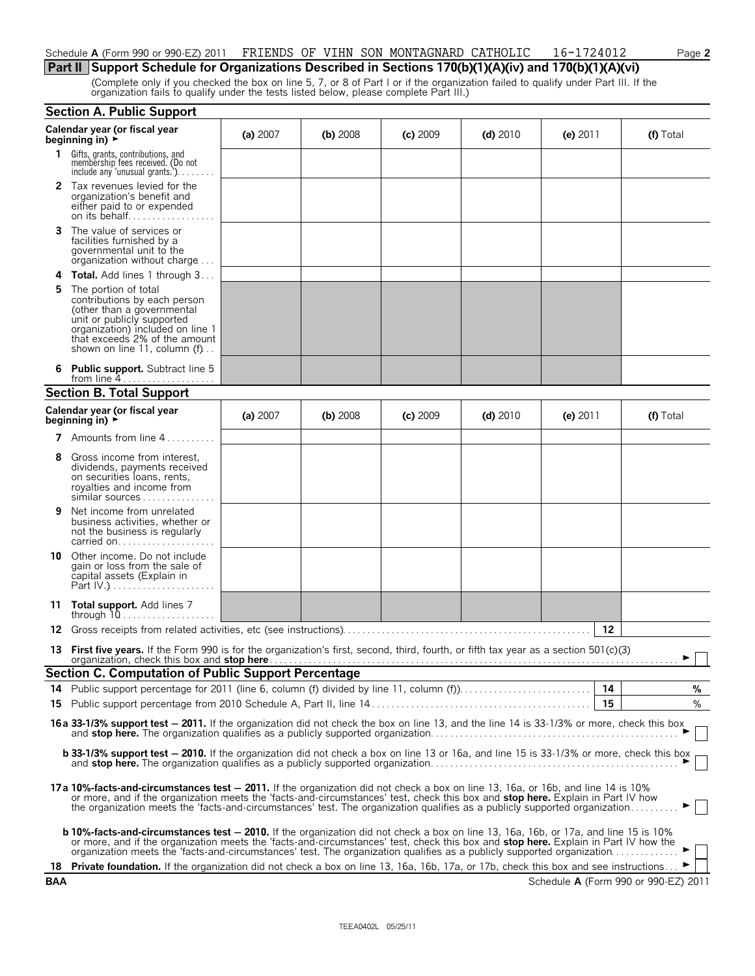## Schedule **A** (Form 990 or 990-EZ) 2011 FRIENDS OF VIHN SON MONTAGNARD CATHOLIC 16-1724012 Page 2

# **Part II Support Schedule for Organizations Described in Sections 170(b)(1)(A)(iv) and 170(b)(1)(A)(vi)**

(Complete only if you checked the box on line 5, 7, or 8 of Part I or if the organization failed to qualify under Part III. If the organization fails to qualify under the tests listed below, please complete Part III.)

|     | <b>Section A. Public Support</b>                                                                                                                                                                                                                                                                                                                                                                            |          |            |            |            |            |                                      |
|-----|-------------------------------------------------------------------------------------------------------------------------------------------------------------------------------------------------------------------------------------------------------------------------------------------------------------------------------------------------------------------------------------------------------------|----------|------------|------------|------------|------------|--------------------------------------|
|     | Calendar year (or fiscal year<br>beginning in) $\blacktriangleright$                                                                                                                                                                                                                                                                                                                                        | (a) 2007 | (b) $2008$ | $(c)$ 2009 | $(d)$ 2010 | (e) $2011$ | (f) Total                            |
| 1.  | Gifts, grants, contributions, and<br>membership fees received. (Do not<br>include any 'unusual grants.'). $\ldots$                                                                                                                                                                                                                                                                                          |          |            |            |            |            |                                      |
|     | 2 Tax revenues levied for the<br>organization's benefit and<br>either paid to or expended                                                                                                                                                                                                                                                                                                                   |          |            |            |            |            |                                      |
| 3   | The value of services or<br>facilities furnished by a<br>governmental unit to the<br>organization without charge                                                                                                                                                                                                                                                                                            |          |            |            |            |            |                                      |
| 4   | <b>Total.</b> Add lines 1 through 3                                                                                                                                                                                                                                                                                                                                                                         |          |            |            |            |            |                                      |
| 5   | The portion of total<br>contributions by each person<br>(other than a governmental<br>unit or publicly supported<br>organization) included on line 1<br>that exceeds 2% of the amount<br>shown on line 11, column $(f)$                                                                                                                                                                                     |          |            |            |            |            |                                      |
| 6   | <b>Public support.</b> Subtract line 5<br>from line $4$                                                                                                                                                                                                                                                                                                                                                     |          |            |            |            |            |                                      |
|     | <b>Section B. Total Support</b>                                                                                                                                                                                                                                                                                                                                                                             |          |            |            |            |            |                                      |
|     | Calendar year (or fiscal year<br>beginning in) $\blacktriangleright$                                                                                                                                                                                                                                                                                                                                        | (a) 2007 | (b) $2008$ | $(c)$ 2009 | $(d)$ 2010 | (e) 2011   | (f) Total                            |
|     | <b>7</b> Amounts from line $4, \ldots, \ldots$                                                                                                                                                                                                                                                                                                                                                              |          |            |            |            |            |                                      |
| 8   | Gross income from interest,<br>dividends, payments received<br>on securities loans, rents,<br>royalties and income from<br>similar sources                                                                                                                                                                                                                                                                  |          |            |            |            |            |                                      |
| 9   | Net income from unrelated<br>business activities, whether or<br>not the business is regularly<br>carried on                                                                                                                                                                                                                                                                                                 |          |            |            |            |            |                                      |
| 10  | Other income. Do not include<br>gain or loss from the sale of<br>capital assets (Explain in                                                                                                                                                                                                                                                                                                                 |          |            |            |            |            |                                      |
|     | 11 Total support. Add lines 7<br>through $10$                                                                                                                                                                                                                                                                                                                                                               |          |            |            |            |            |                                      |
| 12  |                                                                                                                                                                                                                                                                                                                                                                                                             |          |            |            |            | 12         |                                      |
|     | 13 First five years. If the Form 990 is for the organization's first, second, third, fourth, or fifth tax year as a section 501(c)(3)                                                                                                                                                                                                                                                                       |          |            |            |            |            | ►∣                                   |
|     | Section C. Computation of Public Support Percentage                                                                                                                                                                                                                                                                                                                                                         |          |            |            |            |            |                                      |
| 14  | Public support percentage for 2011 (line 6, column (f) divided by line 11, column (f)                                                                                                                                                                                                                                                                                                                       |          |            |            |            | 14<br>15   | %                                    |
|     |                                                                                                                                                                                                                                                                                                                                                                                                             |          |            |            |            |            | %                                    |
|     | 16a 33-1/3% support test - 2011. If the organization did not check the box on line 13, and the line 14 is 33-1/3% or more, check this box                                                                                                                                                                                                                                                                   |          |            |            |            |            |                                      |
|     | <b>b 33-1/3% support test - 2010.</b> If the organization did not check a box on line 13 or 16a, and line 15 is 33-1/3% or more, check this box                                                                                                                                                                                                                                                             |          |            |            |            |            |                                      |
|     | 17a 10%-facts-and-circumstances test - 2011. If the organization did not check a box on line 13, 16a, or 16b, and line 14 is 10%<br>or more, and if the organization meets the 'facts-and-circumstances' test, check this box and stop here. Explain in Part IV how<br>the organization meets the 'facts-and-circumstances' test. The organization qualifies as a publicly supported organization           |          |            |            |            |            | $\mathcal{L}_{\mathcal{A}}$          |
|     | <b>b 10%-facts-and-circumstances test - 2010.</b> If the organization did not check a box on line 13, 16a, 16b, or 17a, and line 15 is 10%<br>or more, and if the organization meets the 'facts-and-circumstances' test, check this box and stop here. Explain in Part IV how the<br>organization meets the 'facts-and-circumstances' test. The organization qualifies as a publicly supported organization |          |            |            |            |            |                                      |
| 18  | <b>Private foundation.</b> If the organization did not check a box on line 13, 16a, 16b, 17a, or 17b, check this box and see instructions                                                                                                                                                                                                                                                                   |          |            |            |            |            |                                      |
| BAA |                                                                                                                                                                                                                                                                                                                                                                                                             |          |            |            |            |            | Schedule A (Form 990 or 990-EZ) 2011 |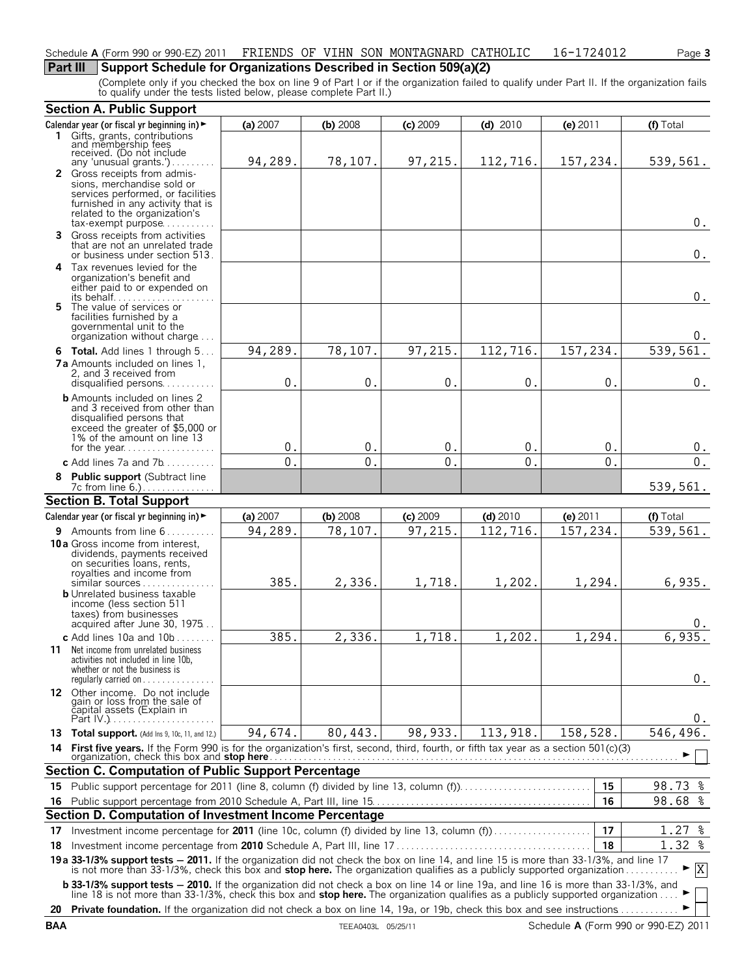### Schedule **A** (Form 990 or 990-EZ) 2011 FRIENDS OF VIHN SON MONTAGNARD CATHOLIC 16-1724012 Page 3

## **Part III** Support Schedule for Organizations Described in Section 509(a)(2)

(Complete only if you checked the box on line 9 of Part I or if the organization failed to qualify under Part II. If the organization fails to qualify under the tests listed below, please complete Part II.)

|    | <b>Section A. Public Support</b>                                                                                                                                                                                                                                 |          |            |            |            |                         |              |
|----|------------------------------------------------------------------------------------------------------------------------------------------------------------------------------------------------------------------------------------------------------------------|----------|------------|------------|------------|-------------------------|--------------|
|    | Calendar year (or fiscal yr beginning in) ►                                                                                                                                                                                                                      | (a) 2007 | (b) 2008   | $(c)$ 2009 | $(d)$ 2010 | (e) 2011                | (f) Total    |
|    | 1 Gifts, grants, contributions<br>and membership fees<br>received. (Do not include                                                                                                                                                                               |          |            |            |            |                         |              |
|    | any 'unusual grants.')                                                                                                                                                                                                                                           | 94,289.  | 78,107.    | 97,215.    | 112,716.   | 157,234.                | 539,561.     |
|    | 2 Gross receipts from admis-<br>sions, merchandise sold or<br>services performed, or facilities<br>furnished in any activity that is<br>related to the organization's<br>$tax$ -exempt purpose                                                                   |          |            |            |            |                         | 0.           |
|    | 3 Gross receipts from activities<br>that are not an unrelated trade<br>or business under section 513.                                                                                                                                                            |          |            |            |            |                         | 0.           |
|    | 4 Tax revenues levied for the<br>organization's benefit and<br>either paid to or expended on                                                                                                                                                                     |          |            |            |            |                         | $0$ .        |
|    | 5 The value of services or<br>facilities furnished by a<br>governmental unit to the<br>organization without charge                                                                                                                                               |          |            |            |            |                         | 0.           |
|    | 6 Total. Add lines 1 through 5                                                                                                                                                                                                                                   | 94,289.  | 78,107.    | 97,215.    | 112,716.   | 157,234.                | 539, 561.    |
|    | <b>7a</b> Amounts included on lines 1,<br>2, and 3 received from<br>disqualified persons                                                                                                                                                                         | 0.       | 0.         | 0.         | $0$ .      | 0.                      | $0$ .        |
|    | <b>b</b> Amounts included on lines 2<br>and 3 received from other than<br>disqualified persons that<br>exceed the greater of \$5,000 or<br>1% of the amount on line 13                                                                                           | 0.       | 0.         | 0.         | 0.         |                         |              |
|    | for the year                                                                                                                                                                                                                                                     | 0.       | 0.         | 0.         | 0.         | 0.<br>0.                | 0.<br>$0$ .  |
|    | c Add lines 7a and 7b                                                                                                                                                                                                                                            |          |            |            |            |                         |              |
|    | 8 Public support (Subtract line<br>7c from line 6.)                                                                                                                                                                                                              |          |            |            |            |                         | 539,561.     |
|    | <b>Section B. Total Support</b>                                                                                                                                                                                                                                  |          |            |            |            |                         |              |
|    | Calendar year (or fiscal yr beginning in) $\blacktriangleright$                                                                                                                                                                                                  | (a) 2007 | $(b)$ 2008 | $(c)$ 2009 | $(d)$ 2010 | (e) 2011                | (f) Total    |
|    | 9 Amounts from line 6                                                                                                                                                                                                                                            | 94,289.  | 78,107.    | 97,215.    | 112,716.   | $\overline{1}$ 57, 234. | 539,561.     |
|    | 10a Gross income from interest,<br>dividends, payments received<br>on securities loans, rents,<br>royalties and income from<br>similar sources<br><b>b</b> Unrelated business taxable<br>income (less section 511<br>taxes) from businesses                      | 385.     | 2,336.     | 1,718.     | 1,202.     | 1,294.                  | 6,935.       |
|    | acquired after June 30, 1975<br>c Add lines 10a and 10b.                                                                                                                                                                                                         | 385.     | 2,336.     | 1,718.     | 1,202.     | 1,294.                  | υ.<br>6,935. |
|    | 11 Net income from unrelated business<br>activities not included in line 10b,<br>whether or not the business is<br>regularly carried on                                                                                                                          |          |            |            |            |                         | 0.           |
|    | 12 Other income. Do not include<br>gain or loss from the sale of<br>capital assets (Explain in                                                                                                                                                                   |          |            |            |            |                         | 0.           |
|    | 13 Total support. (Add Ins 9, 10c, 11, and 12.)                                                                                                                                                                                                                  | 94,674.  | 80,443.    | 98,933.    | 113,918.   | 158,528.                | 546,496.     |
| 14 |                                                                                                                                                                                                                                                                  |          |            |            |            |                         |              |
|    | <b>Section C. Computation of Public Support Percentage</b>                                                                                                                                                                                                       |          |            |            |            |                         |              |
|    | 15 Public support percentage for 2011 (line 8, column (f) divided by line 13, column (f)                                                                                                                                                                         |          |            |            |            | 15                      | 98.73 %      |
|    |                                                                                                                                                                                                                                                                  |          |            |            |            | 16                      | 98.68 %      |
|    | Section D. Computation of Investment Income Percentage                                                                                                                                                                                                           |          |            |            |            |                         |              |
| 17 | Investment income percentage for 2011 (line 10c, column (f) divided by line 13, column (f)                                                                                                                                                                       |          |            |            |            | 17                      | $1.27$ %     |
| 18 |                                                                                                                                                                                                                                                                  |          |            |            |            | 18                      | $1.32$ %     |
|    | 19a 33-1/3% support tests - 2011. If the organization did not check the box on line 14, and line 15 is more than 33-1/3%, and line 17<br>is not more than 33-1/3%, check this box and stop here. The organization qualifies as a publicly supported organization |          |            |            |            |                         | $\mathbf{X}$ |
|    | <b>b 33-1/3% support tests - 2010.</b> If the organization did not check a box on line 14 or line 19a, and line 16 is more than 33-1/3%, and line 18 is not more than 33-1/3%, check this box and <b>stop here.</b> The organization qua                         |          |            |            |            |                         |              |
|    | 20 Private foundation. If the organization did not check a box on line 14, 19a, or 19b, check this box and see instructions                                                                                                                                      |          |            |            |            |                         |              |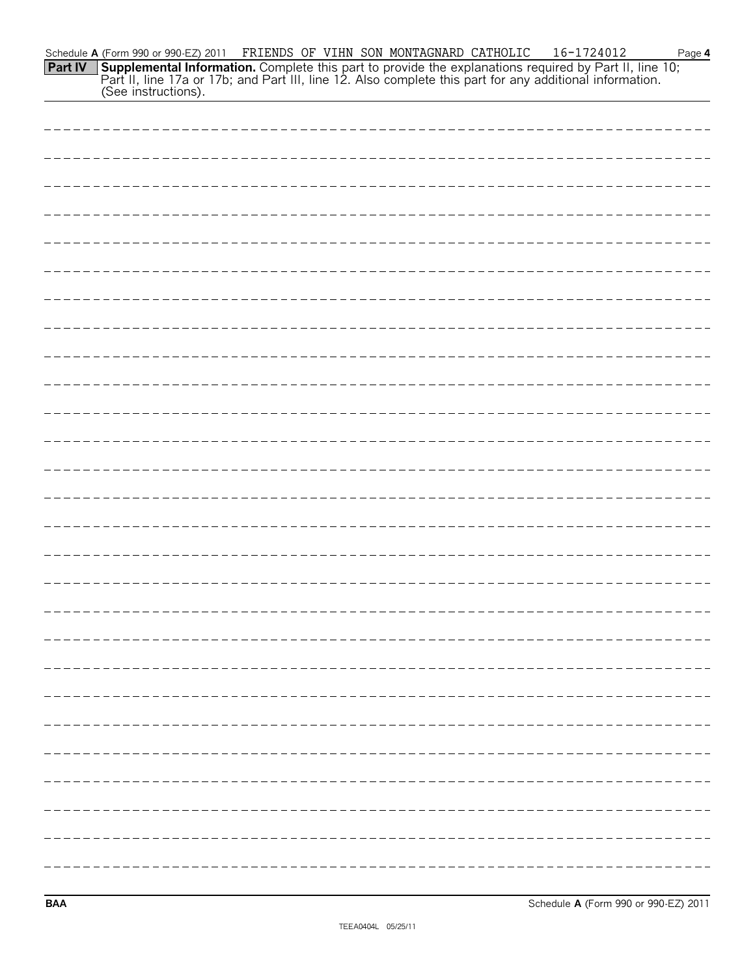| ---------------- |
|------------------|
|                  |
|                  |
|                  |
|                  |
|                  |
|                  |
|                  |
|                  |
|                  |
|                  |
|                  |
|                  |
|                  |

**BAA** Schedule **A** (Form 990 or 990-EZ) 2011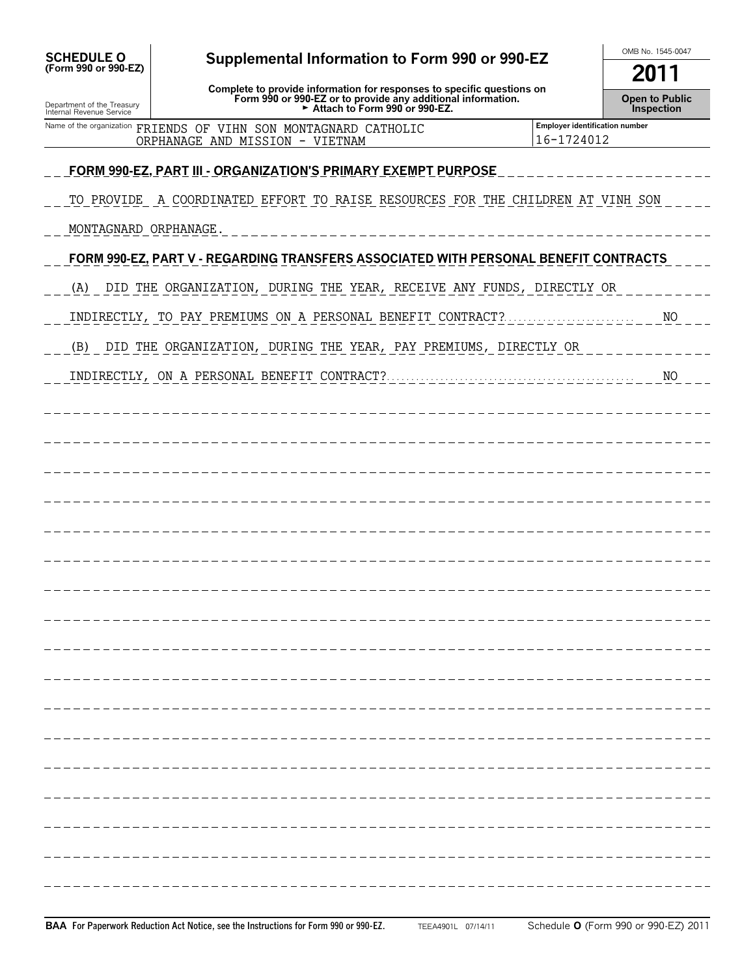| <b>SCHEDULE O</b>                                      | Supplemental Information to Form 990 or 990-EZ                                                                                                                                                         | OMB No. 1545-0047                                   |
|--------------------------------------------------------|--------------------------------------------------------------------------------------------------------------------------------------------------------------------------------------------------------|-----------------------------------------------------|
| (Form 990 or 990-EZ)                                   |                                                                                                                                                                                                        | 2011                                                |
| Department of the Treasury<br>Internal Revenue Service | Complete to provide information for responses to specific questions on<br>Form 990 or 990-EZ or to provide any additional information.<br>Form 990 or 990-EZ or to provide any additional information. | <b>Open to Public</b><br>Inspection                 |
|                                                        | Name of the organization FRIENDS OF VIHN SON MONTAGNARD CATHOLIC<br>ORPHANAGE AND MISSION - VIETNAM                                                                                                    | <b>Employer identification number</b><br>16-1724012 |
|                                                        |                                                                                                                                                                                                        |                                                     |
|                                                        | <u>FORM 990-EZ, PART III - ORGANIZATION'S PRIMARY EXEMPT PURPOSE</u>                                                                                                                                   |                                                     |
|                                                        | TO PROVIDE A COORDINATED EFFORT TO RAISE RESOURCES FOR THE CHILDREN AT VINH SON                                                                                                                        |                                                     |
| MONTAGNARD ORPHANAGE.                                  |                                                                                                                                                                                                        |                                                     |
|                                                        | FORM 990-EZ, PART V - REGARDING TRANSFERS ASSOCIATED WITH PERSONAL BENEFIT CONTRACTS                                                                                                                   |                                                     |
| (A)                                                    | DID THE ORGANIZATION, DURING THE YEAR, RECEIVE ANY FUNDS, DIRECTLY OR                                                                                                                                  |                                                     |
|                                                        | INDIRECTLY, TO PAY PREMIUMS ON A PERSONAL BENEFIT CONTRACT?                                                                                                                                            | N <sub>O</sub>                                      |
| (B)                                                    | DID THE ORGANIZATION, DURING THE YEAR, PAY PREMIUMS, DIRECTLY OR                                                                                                                                       |                                                     |
|                                                        |                                                                                                                                                                                                        | NO                                                  |
|                                                        |                                                                                                                                                                                                        |                                                     |
|                                                        |                                                                                                                                                                                                        |                                                     |
|                                                        |                                                                                                                                                                                                        |                                                     |
|                                                        |                                                                                                                                                                                                        |                                                     |
|                                                        |                                                                                                                                                                                                        |                                                     |
|                                                        |                                                                                                                                                                                                        |                                                     |
|                                                        |                                                                                                                                                                                                        |                                                     |
|                                                        |                                                                                                                                                                                                        |                                                     |
|                                                        |                                                                                                                                                                                                        |                                                     |
|                                                        |                                                                                                                                                                                                        |                                                     |
|                                                        |                                                                                                                                                                                                        |                                                     |
|                                                        |                                                                                                                                                                                                        |                                                     |
|                                                        |                                                                                                                                                                                                        |                                                     |
|                                                        |                                                                                                                                                                                                        |                                                     |
|                                                        |                                                                                                                                                                                                        |                                                     |
|                                                        |                                                                                                                                                                                                        |                                                     |
|                                                        |                                                                                                                                                                                                        |                                                     |
|                                                        |                                                                                                                                                                                                        |                                                     |
|                                                        |                                                                                                                                                                                                        |                                                     |
|                                                        |                                                                                                                                                                                                        |                                                     |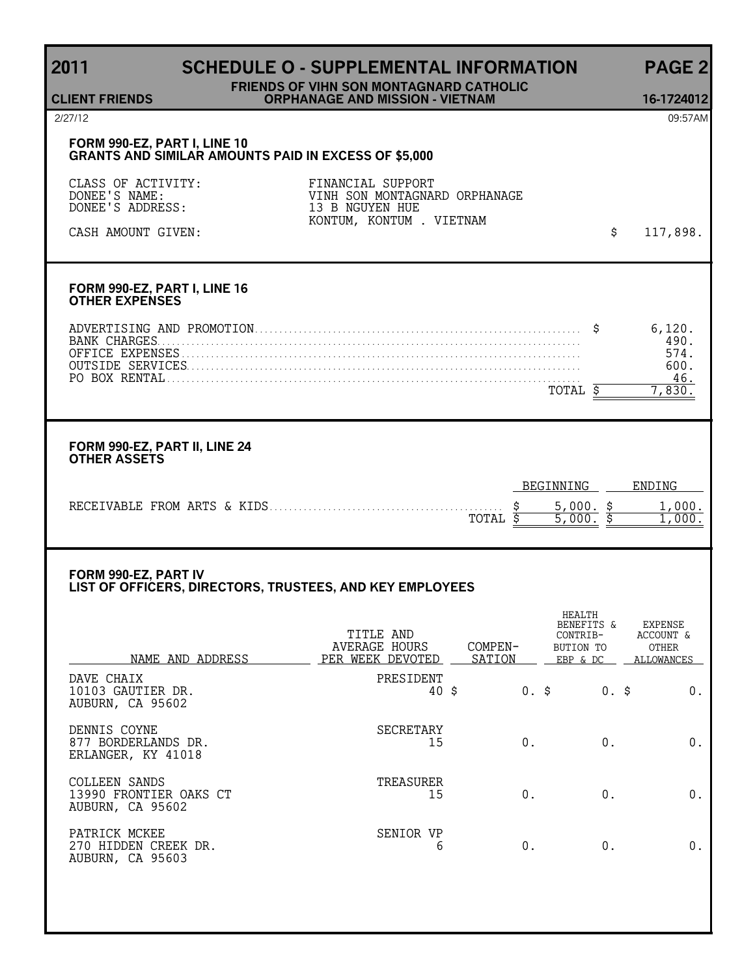# **2011 SCHEDULE O - SUPPLEMENTAL INFORMATION PAGE 2**

#### **FRIENDS OF VIHN SON MONTAGNARD CATHOLIC ORPHANAGE AND MISSION - VIETNAM 16-1724012**

## 2/27/12 09:57AM

**CLIENT FRIENDS**

#### **FORM 990-EZ, PART I, LINE 10 GRANTS AND SIMILAR AMOUNTS PAID IN EXCESS OF \$5,000**

| CLASS OF ACTIVITY:<br>DONEE'S NAME: | FINANCIAL SUPPORT<br>VINH SON MONTAGNARD ORPHANAGE |          |
|-------------------------------------|----------------------------------------------------|----------|
| DONEE'S ADDRESS:                    | 13 B NGUYEN HUE                                    |          |
|                                     | KONTUM, KONTUM . VIETNAM                           |          |
| CASH AMOUNT GIVEN:                  |                                                    | 117,898. |

### **FORM 990-EZ, PART I, LINE 16 OTHER EXPENSES**

| AND<br>PROMOTE |  |
|----------------|--|
|                |  |
|                |  |
|                |  |
|                |  |
|                |  |

#### **FORM 990-EZ, PART II, LINE 24 OTHER ASSETS**

|                                       | INNING<br>RFI- | ENDING |
|---------------------------------------|----------------|--------|
| RECEIVABLE FROM ARTS & KIDS.<br>TOTAL |                | . 70 Q |

#### **FORM 990-EZ, PART IV LIST OF OFFICERS, DIRECTORS, TRUSTEES, AND KEY EMPLOYEES**

| NAME AND ADDRESS                                            | TITLE AND<br>AVERAGE HOURS<br>PER WEEK DEVOTED | COMPEN-<br>SATION |         | <b>HEALTH</b><br>BENEFITS &<br>CONTRIB-<br>BUTION TO<br>EBP & DC | <b>EXPENSE</b><br>ACCOUNT &<br><b>OTHER</b><br>ALLOWANCES |
|-------------------------------------------------------------|------------------------------------------------|-------------------|---------|------------------------------------------------------------------|-----------------------------------------------------------|
| DAVE CHAIX<br>10103 GAUTIER DR.<br>AUBURN, CA 95602         | PRESIDENT<br>40 \$                             |                   | $0.$ \$ | $0.$ \$                                                          | 0.                                                        |
| DENNIS COYNE<br>877 BORDERLANDS DR.<br>ERLANGER, KY 41018   | <b>SECRETARY</b><br>15                         |                   | 0.      | $0$ .                                                            | $0$ .                                                     |
| COLLEEN SANDS<br>13990 FRONTIER OAKS CT<br>AUBURN, CA 95602 | TREASURER<br>15                                |                   | 0.      | 0.                                                               | 0.                                                        |
| PATRICK MCKEE<br>270 HIDDEN CREEK DR.<br>AUBURN, CA 95603   | SENIOR VP<br>6                                 |                   | 0.      | 0.                                                               | 0.                                                        |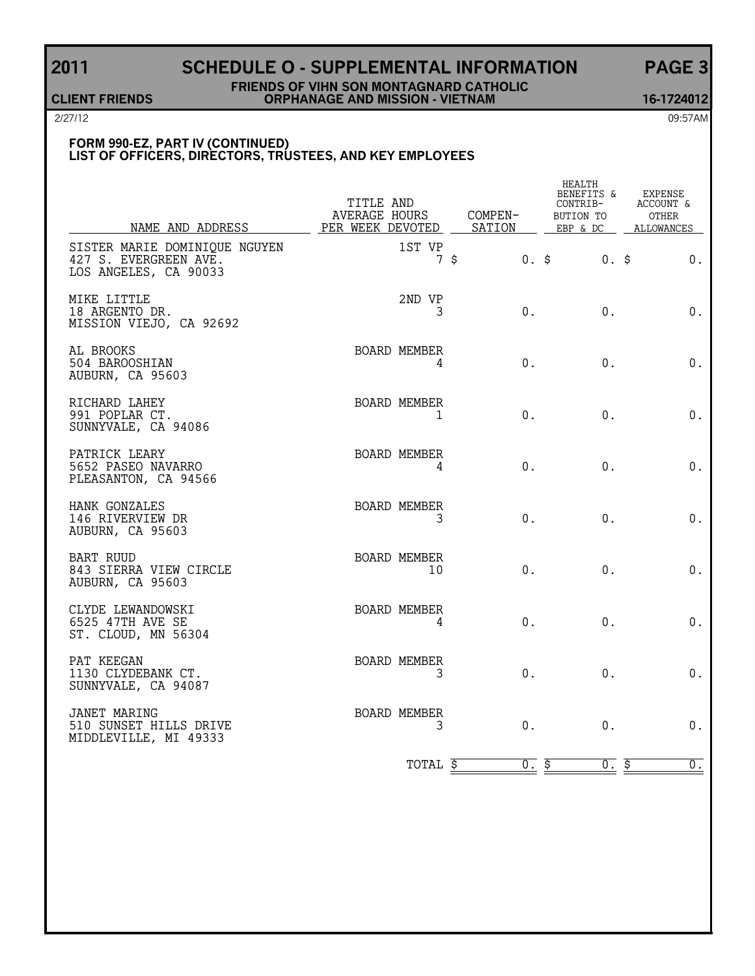# **2011 SCHEDULE O - SUPPLEMENTAL INFORMATION PAGE 3**

#### **FRIENDS OF VIHN SON MONTAGNARD CATHOLIC CLIENT FRIENDS ORPHANAGE AND MISSION - VIETNAM 16-1724012**

2/27/12 09:57AM

#### **FORM 990-EZ, PART IV (CONTINUED) LIST OF OFFICERS, DIRECTORS, TRUSTEES, AND KEY EMPLOYEES**

| NAME AND ADDRESS                                                                | TITLE AND<br><b>AVERAGE HOURS</b><br>PER WEEK DEVOTED |                           |                | COMPEN-<br>SATION | HEALTH<br>BENEFITS &<br>CONTRIB-<br>BUTION TO<br>EBP & DC | <b>EXPENSE</b><br>ACCOUNT &<br><b>OTHER</b><br>ALLOWANCES |
|---------------------------------------------------------------------------------|-------------------------------------------------------|---------------------------|----------------|-------------------|-----------------------------------------------------------|-----------------------------------------------------------|
| SISTER MARIE DOMINIQUE NGUYEN<br>427 S. EVERGREEN AVE.<br>LOS ANGELES, CA 90033 |                                                       | 1ST VP                    | 7 <sup>5</sup> | $0.$ \$           | $0.$ \$                                                   | 0.                                                        |
| MIKE LITTLE<br>18 ARGENTO DR.<br>MISSION VIEJO, CA 92692                        |                                                       | 2ND VP<br>3               |                | $0$ .             | 0.                                                        | 0.                                                        |
| AL BROOKS<br>504 BAROOSHIAN<br>AUBURN, CA 95603                                 |                                                       | BOARD MEMBER<br>4         |                | $0$ .             | $0$ .                                                     | 0.                                                        |
| RICHARD LAHEY<br>991 POPLAR CT.<br>SUNNYVALE, CA 94086                          |                                                       | BOARD MEMBER<br>1         |                | 0.                | $0$ .                                                     | 0.                                                        |
| PATRICK LEARY<br>5652 PASEO NAVARRO<br>PLEASANTON, CA 94566                     |                                                       | BOARD MEMBER<br>4         |                | $0$ .             | $0$ .                                                     | 0.                                                        |
| HANK GONZALES<br>146 RIVERVIEW DR<br>AUBURN, CA 95603                           |                                                       | BOARD MEMBER<br>3         |                | 0.                | 0.                                                        | $0$ .                                                     |
| <b>BART RUUD</b><br>843 SIERRA VIEW CIRCLE<br>AUBURN, CA 95603                  |                                                       | <b>BOARD MEMBER</b><br>10 |                | 0.                | $0$ .                                                     | 0.                                                        |
| CLYDE LEWANDOWSKI<br>6525 47TH AVE SE<br>ST. CLOUD, MN 56304                    |                                                       | BOARD MEMBER<br>4         |                | 0.                | $0$ .                                                     | 0.                                                        |
| PAT KEEGAN<br>1130 CLYDEBANK CT.<br>SUNNYVALE, CA 94087                         |                                                       | <b>BOARD MEMBER</b><br>3  |                | 0.                | 0.                                                        | 0.                                                        |
| JANET MARING<br>510 SUNSET HILLS DRIVE<br>MIDDLEVILLE, MI 49333                 |                                                       | BOARD MEMBER<br>3         |                | 0.                | 0.                                                        | 0.                                                        |
|                                                                                 |                                                       | TOTAL \$                  |                | 0.5               | 0.5                                                       | $\underline{\overline{0}}$ .                              |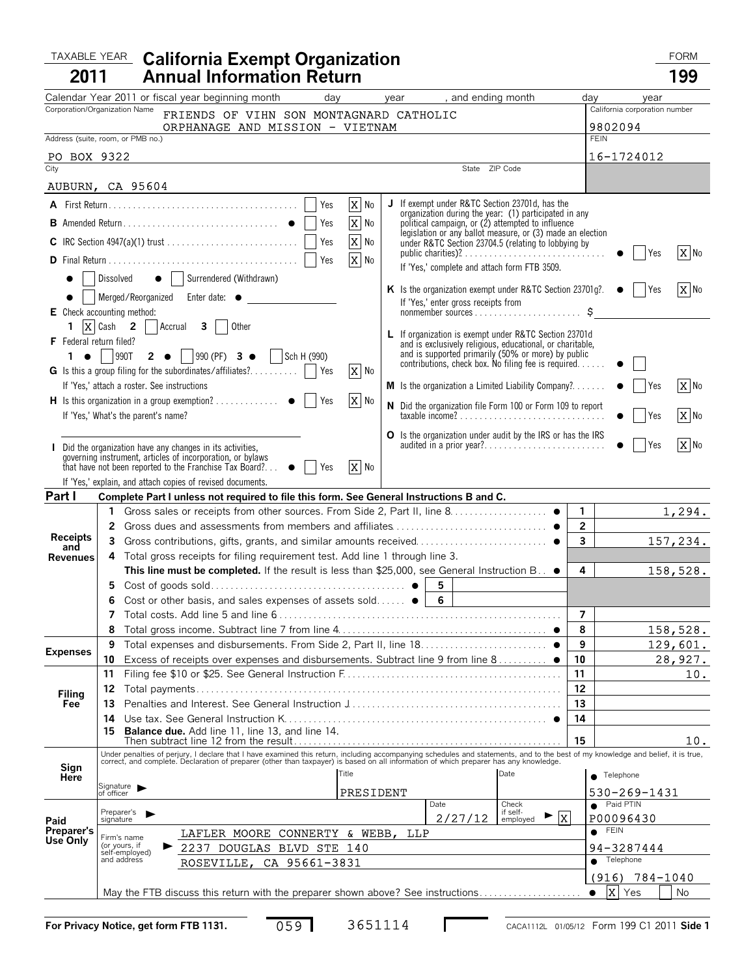#### TAXABLE YEAR California Exempt Organization **Taxable Year California 2011 California Exempt Organization**

|--|

| 2011                           |                                             | <b>Annual Information Return</b>                                                                                                                                                                                               |                          |           |                                                                                                           |                                                      |                                |                               | 199       |
|--------------------------------|---------------------------------------------|--------------------------------------------------------------------------------------------------------------------------------------------------------------------------------------------------------------------------------|--------------------------|-----------|-----------------------------------------------------------------------------------------------------------|------------------------------------------------------|--------------------------------|-------------------------------|-----------|
|                                |                                             | Calendar Year 2011 or fiscal year beginning month                                                                                                                                                                              | day                      | year      | , and ending month                                                                                        |                                                      | day                            | year                          |           |
|                                | Corporation/Organization Name               | FRIENDS OF VIHN SON MONTAGNARD CATHOLIC                                                                                                                                                                                        |                          |           |                                                                                                           |                                                      |                                | California corporation number |           |
|                                |                                             | ORPHANAGE AND MISSION - VIETNAM                                                                                                                                                                                                |                          |           |                                                                                                           |                                                      |                                | 9802094                       |           |
|                                | Address (suite, room, or PMB no.)           |                                                                                                                                                                                                                                |                          |           |                                                                                                           |                                                      |                                | <b>FEIN</b>                   |           |
| PO BOX 9322<br>City            |                                             |                                                                                                                                                                                                                                |                          |           | State ZIP Code                                                                                            |                                                      |                                | 16-1724012                    |           |
|                                | AUBURN, CA 95604                            |                                                                                                                                                                                                                                |                          |           |                                                                                                           |                                                      |                                |                               |           |
|                                |                                             |                                                                                                                                                                                                                                | $X$ No<br>Yes            |           | J If exempt under R&TC Section 23701d, has the                                                            |                                                      |                                |                               |           |
|                                |                                             |                                                                                                                                                                                                                                | $\overline{X}$ No        |           | organization during the year: (1) participated in any political campaign, or (2) attempted to influence   |                                                      |                                |                               |           |
|                                |                                             |                                                                                                                                                                                                                                | $\overline{X}$ No<br>Yes |           | legislation or any ballot measure, or (3) made an election                                                |                                                      |                                |                               |           |
|                                |                                             |                                                                                                                                                                                                                                |                          |           | under R&TC Section 23704.5 (relating to lobbying by                                                       |                                                      |                                | l Yes                         | X No      |
|                                |                                             |                                                                                                                                                                                                                                | $\overline{X}$ No        |           | If 'Yes,' complete and attach form FTB 3509.                                                              |                                                      |                                |                               |           |
|                                |                                             | Dissolved $\bullet$   Surrendered (Withdrawn)                                                                                                                                                                                  |                          |           | K Is the organization exempt under R&TC Section 23701g?. •     Yes                                        |                                                      |                                |                               | $X$ No    |
|                                |                                             | Merged/Reorganized Enter date: •                                                                                                                                                                                               |                          |           | If 'Yes,' enter gross receipts from                                                                       |                                                      |                                |                               |           |
|                                | E Check accounting method:                  |                                                                                                                                                                                                                                |                          |           |                                                                                                           |                                                      |                                |                               |           |
| <b>F</b> Federal return filed? |                                             | 1 $\overline{X}$ Cash 2   Accrual 3  <br>Other                                                                                                                                                                                 |                          |           | L If organization is exempt under R&TC Section 23701d                                                     |                                                      |                                |                               |           |
|                                | $1 \bullet$ 990T                            | 2 $\bullet$   990 (PF) 3 $\bullet$   Sch H (990)                                                                                                                                                                               |                          |           | and is exclusively religious, educational, or charitable,                                                 |                                                      |                                |                               |           |
|                                |                                             | G Is this a group filing for the subordinates/affiliates?    Yes                                                                                                                                                               | $\overline{X}$ No        |           | and is supported primarily (50% or more) by public<br>contributions, check box. No filing fee is required |                                                      |                                |                               |           |
|                                | If 'Yes,' attach a roster. See instructions |                                                                                                                                                                                                                                |                          |           | <b>M</b> Is the organization a Limited Liability Company?                                                 |                                                      |                                | Yes                           | X No      |
|                                |                                             |                                                                                                                                                                                                                                | X No                     |           | N Did the organization file Form 100 or Form 109 to report                                                |                                                      |                                |                               |           |
|                                | If 'Yes,' What's the parent's name?         |                                                                                                                                                                                                                                |                          |           |                                                                                                           |                                                      |                                | Yes                           | X No      |
|                                |                                             |                                                                                                                                                                                                                                |                          |           | O Is the organization under audit by the IRS or has the IRS                                               |                                                      |                                |                               |           |
|                                |                                             | I Did the organization have any changes in its activities,<br>governing instrument, articles of incorporation, or bylaws                                                                                                       |                          |           | audited in a prior year?                                                                                  |                                                      |                                | Yes                           | X No      |
|                                |                                             | that have not been reported to the Franchise Tax Board? $\bullet$                                                                                                                                                              | X No<br>Yes              |           |                                                                                                           |                                                      |                                |                               |           |
|                                |                                             | If 'Yes,' explain, and attach copies of revised documents.                                                                                                                                                                     |                          |           |                                                                                                           |                                                      |                                |                               |           |
| Part I                         |                                             | Complete Part I unless not required to file this form. See General Instructions B and C.                                                                                                                                       |                          |           |                                                                                                           |                                                      |                                |                               |           |
|                                |                                             |                                                                                                                                                                                                                                |                          |           |                                                                                                           |                                                      | $\mathbf{1}$                   |                               | 1,294.    |
| <b>Receipts</b>                | 3                                           |                                                                                                                                                                                                                                |                          |           |                                                                                                           |                                                      | $\overline{2}$<br>$\mathbf{3}$ |                               | 157,234.  |
| and<br><b>Revenues</b>         | 4                                           | Total gross receipts for filing requirement test. Add line 1 through line 3.                                                                                                                                                   |                          |           |                                                                                                           |                                                      |                                |                               |           |
|                                |                                             | This line must be completed. If the result is less than \$25,000, see General Instruction B. $\bullet$                                                                                                                         |                          |           |                                                                                                           |                                                      | 4                              |                               | 158,528.  |
|                                | 5                                           |                                                                                                                                                                                                                                |                          |           | 5                                                                                                         |                                                      |                                |                               |           |
|                                | 6                                           | Cost or other basis, and sales expenses of assets sold $\bullet$   6                                                                                                                                                           |                          |           |                                                                                                           |                                                      |                                |                               |           |
|                                | 7                                           |                                                                                                                                                                                                                                |                          |           |                                                                                                           |                                                      | $\overline{7}$                 |                               |           |
|                                | 8                                           |                                                                                                                                                                                                                                |                          |           |                                                                                                           |                                                      | 8                              |                               | 158, 528. |
| <b>Expenses</b>                | 9                                           |                                                                                                                                                                                                                                |                          |           |                                                                                                           |                                                      | 9                              |                               | 129,601.  |
|                                | 10                                          | Excess of receipts over expenses and disbursements. Subtract line 9 from line 8 ●                                                                                                                                              |                          |           |                                                                                                           |                                                      | 10                             |                               | 28,927.   |
|                                | 11<br>12                                    |                                                                                                                                                                                                                                |                          |           |                                                                                                           |                                                      | 11<br>12                       |                               | 10.       |
| Filing<br>Fee                  | 13                                          |                                                                                                                                                                                                                                |                          |           |                                                                                                           |                                                      | 13                             |                               |           |
|                                | 14                                          |                                                                                                                                                                                                                                |                          |           |                                                                                                           |                                                      | 14                             |                               |           |
|                                | 15                                          | <b>Balance due.</b> Add line 11, line 13, and line 14.                                                                                                                                                                         |                          |           |                                                                                                           |                                                      |                                |                               |           |
|                                |                                             |                                                                                                                                                                                                                                |                          |           |                                                                                                           |                                                      | 15                             |                               | 10.       |
| Sign                           |                                             | Under penalties of perjury, I declare that I have examined this return, including accompanying schedules and statements, and to the best of my knowledge and belief, it is true, correct, and complete. Declaration of prepare | Title                    |           |                                                                                                           | Date                                                 |                                |                               |           |
| Here                           | Signature > of officer                      |                                                                                                                                                                                                                                |                          |           |                                                                                                           |                                                      |                                | Telephone                     |           |
|                                |                                             |                                                                                                                                                                                                                                |                          | PRESIDENT | Date                                                                                                      | Check                                                |                                | 530-269-1431<br>Paid PTIN     |           |
| Paid                           | Preparer's<br>signature                     |                                                                                                                                                                                                                                |                          |           | 2/27/12                                                                                                   | if self-<br>$\overline{\mathbf{x}}$<br>►<br>employed |                                | P00096430                     |           |
| Preparer's                     | Firm's name                                 | LAFLER MOORE CONNERTY & WEBB,                                                                                                                                                                                                  |                          | LLP       |                                                                                                           |                                                      | $\bullet$                      | <b>FEIN</b>                   |           |
| Use Only                       | (or yours, if<br>self-employed)             | 2237 DOUGLAS BLVD STE 140                                                                                                                                                                                                      |                          |           |                                                                                                           |                                                      |                                | 94-3287444                    |           |
|                                | and address                                 | ROSEVILLE,                                                                                                                                                                                                                     | CA 95661-3831            |           |                                                                                                           |                                                      | $\bullet$                      | Telephone                     |           |
|                                |                                             |                                                                                                                                                                                                                                |                          |           |                                                                                                           |                                                      |                                | 784-1040<br>(916)             |           |
|                                |                                             | May the FTB discuss this return with the preparer shown above? See instructions                                                                                                                                                |                          |           |                                                                                                           |                                                      | $\bullet$                      | X Yes                         | No        |

| $059$ $\blacksquare$ | 3651114 |
|----------------------|---------|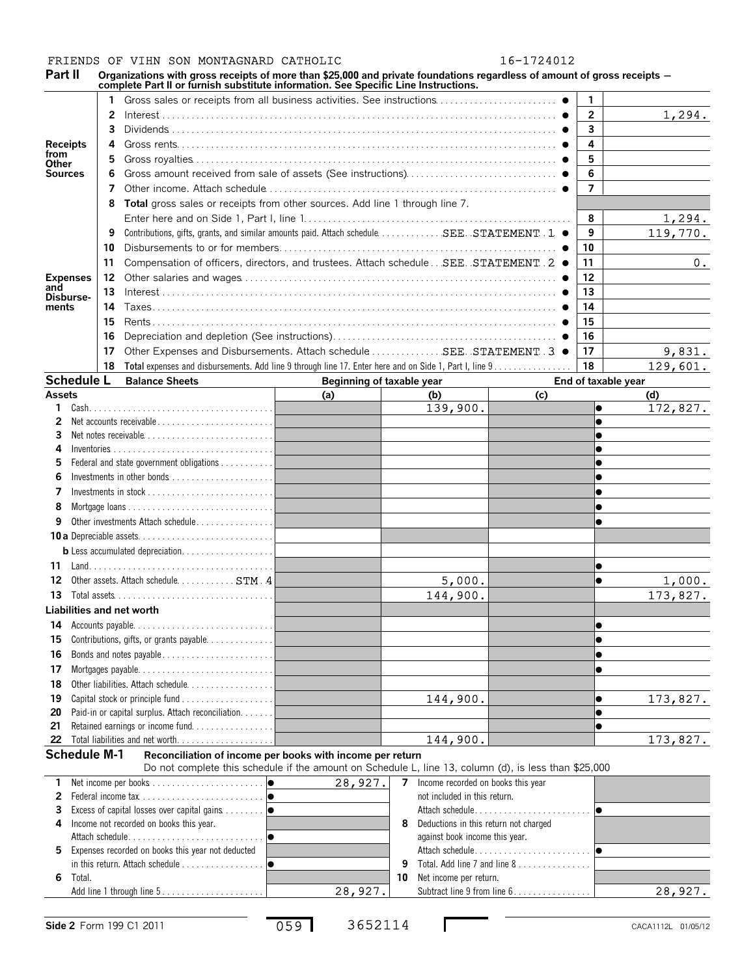### FRIENDS OF VIHN SON MONTAGNARD CATHOLIC 16-1724012

Part II Organizations with gross receipts of more than \$25,000 and private foundations regardless of amount of gross receipts -

|                         |    | amzauviis with gross receipts or more than \$25,000 and private foundations regardless or amount or gross receipts<br>complete Part II or furnish substitute information. See Specific Line Instructions. |                           |                                            |     |                        |                           |
|-------------------------|----|-----------------------------------------------------------------------------------------------------------------------------------------------------------------------------------------------------------|---------------------------|--------------------------------------------|-----|------------------------|---------------------------|
|                         |    |                                                                                                                                                                                                           |                           |                                            |     | 1                      |                           |
|                         | 2  |                                                                                                                                                                                                           |                           |                                            |     | $\overline{2}$         | 1,294.                    |
|                         |    |                                                                                                                                                                                                           |                           |                                            |     | $\mathbf{3}$           |                           |
| <b>Receipts</b>         | 4  |                                                                                                                                                                                                           |                           |                                            |     | 4                      |                           |
| from                    | 5  |                                                                                                                                                                                                           |                           |                                            |     | 5                      |                           |
| Other<br><b>Sources</b> |    |                                                                                                                                                                                                           |                           |                                            |     | 6                      |                           |
|                         | 7  |                                                                                                                                                                                                           |                           |                                            |     | $\overline{7}$         |                           |
|                         | 8  | Total gross sales or receipts from other sources. Add line 1 through line 7.                                                                                                                              |                           |                                            |     |                        |                           |
|                         |    |                                                                                                                                                                                                           |                           |                                            |     | 8                      |                           |
|                         | 9  | Contributions, gifts, grants, and similar amounts paid. Attach schedule  SEE. STATEMENT . 1 .                                                                                                             |                           |                                            |     | 9                      | <u>1,294.</u><br>119,770. |
|                         | 10 |                                                                                                                                                                                                           |                           |                                            |     | 10                     |                           |
|                         |    |                                                                                                                                                                                                           |                           |                                            |     |                        |                           |
|                         | 11 | Compensation of officers, directors, and trustees. Attach schedule SEE. STATEMENT 2 ●                                                                                                                     |                           |                                            |     | 11                     | $0_{\cdot}$               |
| <b>Expenses</b><br>and  | 12 |                                                                                                                                                                                                           |                           |                                            |     | 12                     |                           |
| Disburse-               | 13 |                                                                                                                                                                                                           |                           |                                            |     | 13                     |                           |
| ments                   | 14 |                                                                                                                                                                                                           |                           |                                            |     | 14                     |                           |
|                         | 15 |                                                                                                                                                                                                           |                           |                                            |     | 15                     |                           |
|                         | 16 |                                                                                                                                                                                                           |                           |                                            |     | 16                     |                           |
|                         | 17 | Other Expenses and Disbursements. Attach schedule  SEE. STATEMENT 3 ●                                                                                                                                     |                           |                                            |     | 17                     | 9,831.                    |
|                         | 18 | Total expenses and disbursements. Add line 9 through line 17. Enter here and on Side 1, Part I, line 9.                                                                                                   |                           |                                            |     | 18                     | 129,601.                  |
| <b>Schedule L</b>       |    | <b>Balance Sheets</b>                                                                                                                                                                                     | Beginning of taxable year |                                            |     | End of taxable year    |                           |
| <b>Assets</b>           |    |                                                                                                                                                                                                           | (a)                       | (b)                                        | (c) |                        | (d)                       |
| 1.                      |    |                                                                                                                                                                                                           |                           | 139,900.                                   |     | $\bullet$              | 172,827.                  |
| 2                       |    | Net accounts receivable                                                                                                                                                                                   |                           |                                            |     | $\bullet$              |                           |
| З<br>4                  |    | Net notes receivable                                                                                                                                                                                      |                           |                                            |     |                        |                           |
|                         |    |                                                                                                                                                                                                           |                           |                                            |     |                        |                           |
|                         |    |                                                                                                                                                                                                           |                           |                                            |     |                        |                           |
| 7                       |    |                                                                                                                                                                                                           |                           |                                            |     |                        |                           |
| 8                       |    |                                                                                                                                                                                                           |                           |                                            |     |                        |                           |
| 9                       |    | Other investments Attach schedule                                                                                                                                                                         |                           |                                            |     |                        |                           |
|                         |    |                                                                                                                                                                                                           |                           |                                            |     |                        |                           |
|                         |    |                                                                                                                                                                                                           |                           |                                            |     |                        |                           |
| 11                      |    |                                                                                                                                                                                                           |                           |                                            |     |                        |                           |
|                         |    | Other assets. Attach schedule. STM . 4                                                                                                                                                                    |                           |                                            |     | $\bullet$<br>$\bullet$ |                           |
| 12                      |    |                                                                                                                                                                                                           |                           | 5,000.                                     |     |                        | 1,000.                    |
| 13                      |    |                                                                                                                                                                                                           |                           | 144,900.                                   |     |                        | 173,827.                  |
|                         |    | Liabilities and net worth                                                                                                                                                                                 |                           |                                            |     |                        |                           |
|                         |    | 14 Accounts payable                                                                                                                                                                                       |                           |                                            |     | lo                     |                           |
| 15                      |    |                                                                                                                                                                                                           |                           |                                            |     | $\bullet$              |                           |
| 16                      |    |                                                                                                                                                                                                           |                           |                                            |     | $\bullet$              |                           |
| 17                      |    |                                                                                                                                                                                                           |                           |                                            |     | $\bullet$              |                           |
| 18                      |    |                                                                                                                                                                                                           |                           |                                            |     |                        |                           |
| 19                      |    |                                                                                                                                                                                                           |                           | 144,900.                                   |     | $\bullet$              | 173,827.                  |
| 20                      |    | Paid-in or capital surplus. Attach reconciliation.                                                                                                                                                        |                           |                                            |     | $\bullet$              |                           |
| 21<br>22                |    | Retained earnings or income fund                                                                                                                                                                          |                           | 144,900.                                   |     | $\bullet$              | 173,827.                  |
|                         |    |                                                                                                                                                                                                           |                           |                                            |     |                        |                           |
| <b>Schedule M-1</b>     |    | Reconciliation of income per books with income per return<br>Do not complete this schedule if the amount on Schedule L, line 13, column (d), is less than \$25,000                                        |                           |                                            |     |                        |                           |
| 1.                      |    |                                                                                                                                                                                                           | 28,927.                   | Income recorded on books this year<br>7    |     |                        |                           |
| 2                       |    |                                                                                                                                                                                                           |                           | not included in this return.               |     |                        |                           |
| 3                       |    |                                                                                                                                                                                                           |                           |                                            |     |                        |                           |
| 4                       |    | Income not recorded on books this year.                                                                                                                                                                   |                           | Deductions in this return not charged<br>8 |     |                        |                           |
|                         |    |                                                                                                                                                                                                           |                           | against book income this year.             |     |                        |                           |
| 5.                      |    | Expenses recorded on books this year not deducted                                                                                                                                                         |                           |                                            |     |                        |                           |

|         | Total, Add line 7 and line $8, 1, 1, 1, 1, 1, 1, 1, 1, 1, 1$ |         |
|---------|--------------------------------------------------------------|---------|
|         | <b>10</b> Net income per return.                             |         |
| 28,927. | Subtract line 9 from line 6.                                 | 28,927. |
|         |                                                              |         |

Add line 1 through line 5...

**6** Total.

in this return. Attach schedule  $\dots\dots\dots\dots\dots$ 

059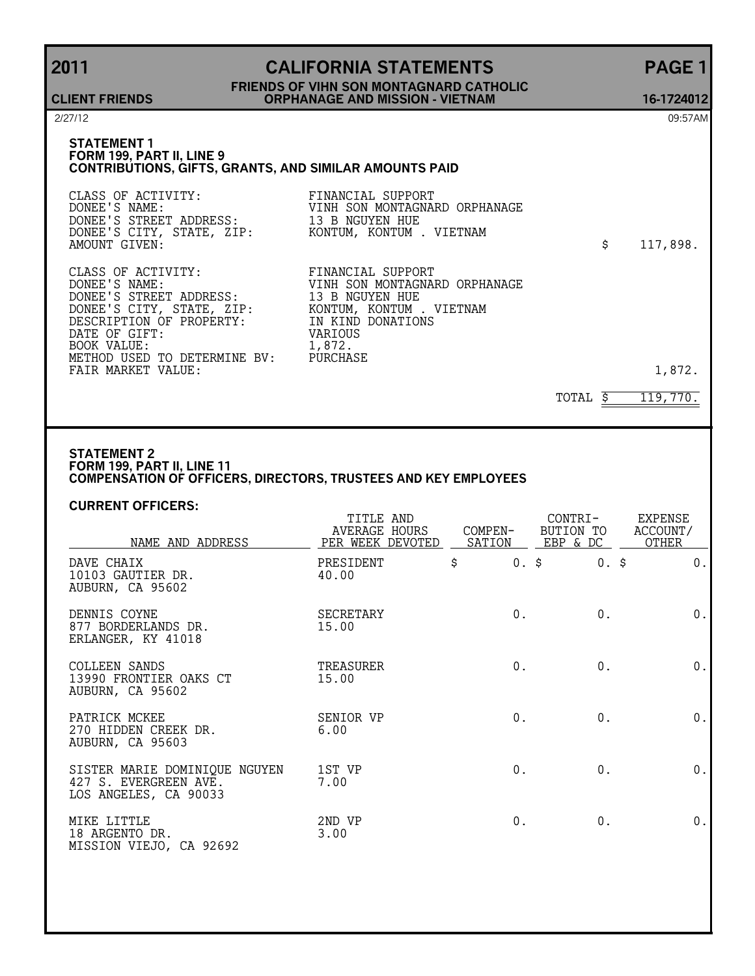# **2011 CALIFORNIA STATEMENTS PAGE 1 FRIENDS OF VIHN SON MONTAGNARD CATHOLIC ORPHANAGE AND MISSION - VIETNAM 16-1724012**

**CLIENT FRIENDS**

2/27/12 09:57AM

#### **STATEMENT 1 FORM 199, PART II, LINE 9 CONTRIBUTIONS, GIFTS, GRANTS, AND SIMILAR AMOUNTS PAID**

| CLASS OF ACTIVITY:<br>DONEE'S NAME:<br>DONEE'S STREET ADDRESS: 13 B NGUYEN HUE<br>DONEE'S CITY, STATE, ZIP: KONTUM, KONTUM . VIETNAM<br>AMOUNT GIVEN:                                                                                           | FINANCIAL SUPPORT<br>VINH SON MONTAGNARD ORPHANAGE                                                              | \$<br>117,898. |
|-------------------------------------------------------------------------------------------------------------------------------------------------------------------------------------------------------------------------------------------------|-----------------------------------------------------------------------------------------------------------------|----------------|
| CLASS OF ACTIVITY:<br>DONEE'S NAME:<br>DONEE'S STREET ADDRESS: 13 B NGUYEN HUE<br>DONEE'S CITY, STATE, ZIP:<br>DESCRIPTION OF PROPERTY: IN KIND DONATIONS<br>DATE OF GIFT:<br>BOOK VALUE:<br>METHOD USED TO DETERMINE BV:<br>FAIR MARKET VALUE: | FINANCIAL SUPPORT<br>VINH SON MONTAGNARD ORPHANAGE<br>KONTUM, KONTUM . VIETNAM<br>VARIOUS<br>1,872.<br>PURCHASE | 1,872.         |

TOTAL  $\frac{119,770}{5}$ 

#### **STATEMENT 2 FORM 199, PART II, LINE 11 COMPENSATION OF OFFICERS, DIRECTORS, TRUSTEES AND KEY EMPLOYEES**

#### **CURRENT OFFICERS:**

| NAME AND ADDRESS                                                                | TITLE AND<br>AVERAGE HOURS<br>PER WEEK DEVOTED | COMPEN- | CONTRI-<br>BUTION TO<br>SATION EBP & DC | <b>EXPENSE</b><br>ACCOUNT/<br>OTHER |  |
|---------------------------------------------------------------------------------|------------------------------------------------|---------|-----------------------------------------|-------------------------------------|--|
| DAVE CHAIX<br>10103 GAUTIER DR.<br>AUBURN, CA 95602                             | PRESIDENT<br>40.00                             | \$      | $0.$ \$<br>$0.$ \$                      | $0$ .                               |  |
| DENNIS COYNE<br>877 BORDERLANDS DR.<br>ERLANGER, KY 41018                       | SECRETARY<br>15.00                             | $0$ .   | $0$ .                                   | $0$ .                               |  |
| COLLEEN SANDS<br>13990 FRONTIER OAKS CT<br>AUBURN, CA 95602                     | TREASURER<br>15.00                             | $0$ .   | $0$ .                                   | $0$ .                               |  |
| PATRICK MCKEE<br>270 HIDDEN CREEK DR.<br>AUBURN, CA 95603                       | SENIOR VP<br>6.00                              | 0.      | 0.                                      | 0.                                  |  |
| SISTER MARIE DOMINIQUE NGUYEN<br>427 S. EVERGREEN AVE.<br>LOS ANGELES, CA 90033 | 1ST VP<br>7.00                                 | 0.      | 0.                                      | 0.                                  |  |
| MIKE LITTLE<br>18 ARGENTO DR.<br>MISSION VIEJO, CA 92692                        | 2ND VP<br>3.00                                 | 0.      | 0.                                      | 0.                                  |  |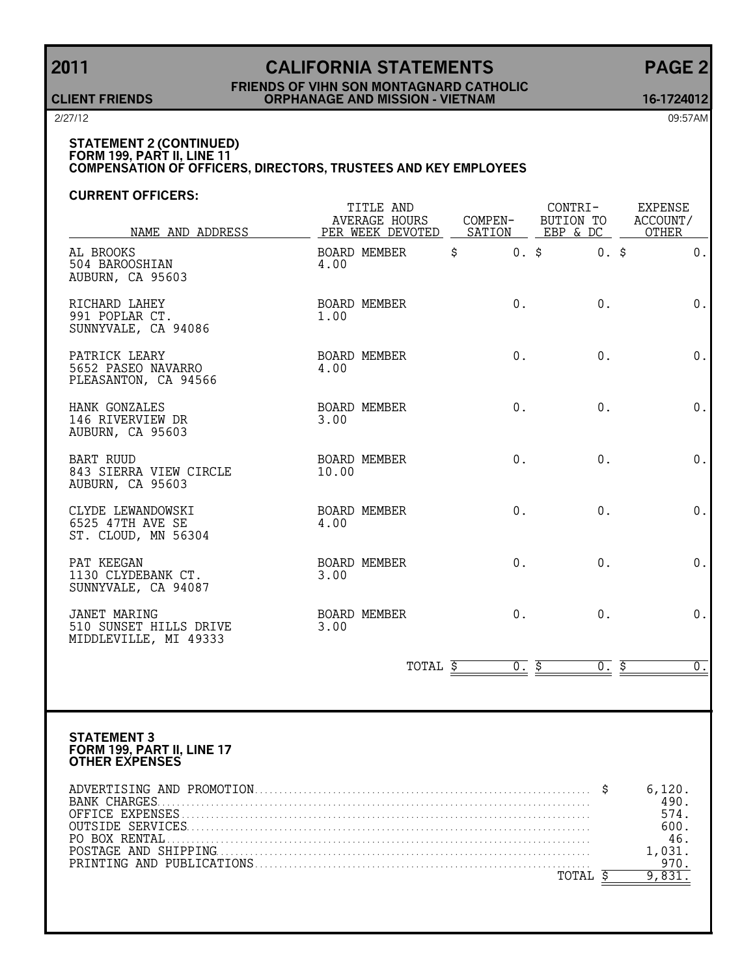# **2011 CALIFORNIA STATEMENTS PAGE 2**

#### **FRIENDS OF VIHN SON MONTAGNARD CATHOLIC CLIENT FRIENDS ORPHANAGE AND MISSION - VIETNAM 16-1724012**

2/27/12 09:57AM

### **STATEMENT 2 (CONTINUED) FORM 199, PART II, LINE 11 COMPENSATION OF OFFICERS, DIRECTORS, TRUSTEES AND KEY EMPLOYEES**

#### **CURRENT OFFICERS:**

| NAME AND ADDRESS                                                          | TITLE AND<br><b>AVERAGE HOURS</b><br>PER WEEK DEVOTED | COMPEN-         | CONTRI-<br>BUTION TO<br>SATION EBP & DC | EXPENSE<br>ACCOUNT/<br>OTHER |
|---------------------------------------------------------------------------|-------------------------------------------------------|-----------------|-----------------------------------------|------------------------------|
| AL BROOKS<br>504 BAROOSHIAN<br>AUBURN, CA 95603                           | BOARD MEMBER<br>4.00                                  | $\ddot{s}$      | $0.$ \$<br>$0.$ \$                      | $0$ .                        |
| RICHARD LAHEY<br>991 POPLAR CT.<br>SUNNYVALE, CA 94086                    | BOARD MEMBER<br>1.00                                  | 0.              | $0$ .                                   | $0$ .                        |
| PATRICK LEARY<br>5652 PASEO NAVARRO<br>PLEASANTON, CA 94566               | BOARD MEMBER<br>4.00                                  | 0.              | 0.                                      | 0.                           |
| HANK GONZALES<br>146 RIVERVIEW DR<br>AUBURN, CA 95603                     | BOARD MEMBER<br>3.00                                  | 0.              | 0.                                      | $0$ .                        |
| <b>BART RUUD</b><br>843 SIERRA VIEW CIRCLE<br>AUBURN, CA 95603            | <b>BOARD MEMBER</b><br>10.00                          | 0.              | 0.                                      | $0$ .                        |
| CLYDE LEWANDOWSKI<br>6525 47TH AVE SE<br>ST. CLOUD, MN 56304              | BOARD MEMBER<br>4.00                                  | $0$ .           | 0.                                      | $0$ .                        |
| PAT KEEGAN<br>1130 CLYDEBANK CT.<br>SUNNYVALE, CA 94087                   | BOARD MEMBER<br>3.00                                  | 0.              | 0.                                      | 0.                           |
| <b>JANET MARING</b><br>510 SUNSET HILLS DRIVE<br>MIDDLEVILLE, MI 49333    | BOARD MEMBER<br>3.00                                  | 0.              | 0.                                      | 0.                           |
|                                                                           |                                                       | TOTAL \$<br>0.5 | $0.$ \$                                 | $\overline{0}$ .             |
|                                                                           |                                                       |                 |                                         |                              |
| <b>STATEMENT 3</b><br>FORM 199, PART II, LINE 17<br><b>OTHER EXPENSES</b> |                                                       |                 |                                         |                              |
|                                                                           |                                                       |                 |                                         | 6,120.                       |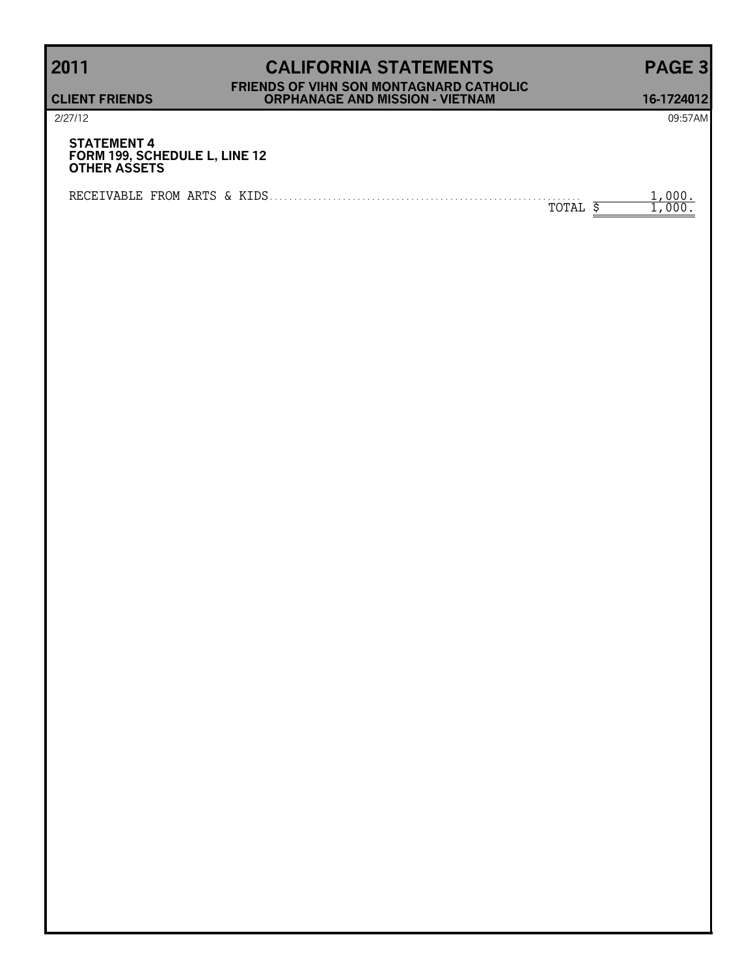# **2011 CALIFORNIA STATEMENTS PAGE 3 FRIENDS OF VIHN SON MONTAGNARD CATHOLIC CLIENT FRIENDS ORPHANAGE AND MISSION - VIETNAM 16-1724012**

| 2/27/12                                                                    | 09:57AM |
|----------------------------------------------------------------------------|---------|
| <b>STATEMENT 4</b><br>FORM 199, SCHEDULE L, LINE 12<br><b>OTHER ASSETS</b> |         |
| TOTAL                                                                      |         |